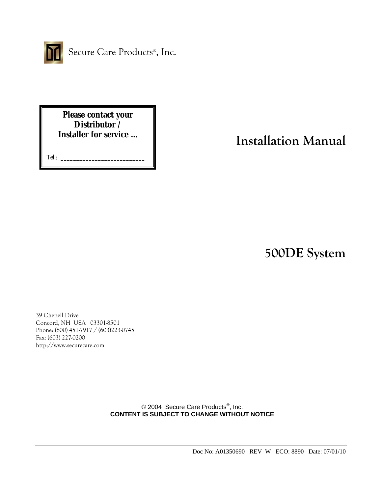

Secure Care Products<sup>®</sup>, Inc.

**Please contact your Distributor / Installer for service …** 

Tel.: **\_\_\_\_\_\_\_\_\_\_\_\_\_\_\_\_\_\_\_\_\_\_\_\_\_\_\_**

# **Installation Manual**

**500DE System** 

39 Chenell Drive Concord, NH USA 03301-8501 Phone: (800) 451-7917 / (603)223-0745 Fax: (603) 227-0200 http://www.securecare.com

> © 2004 Secure Care Products<sup>®</sup>, Inc. **CONTENT IS SUBJECT TO CHANGE WITHOUT NOTICE**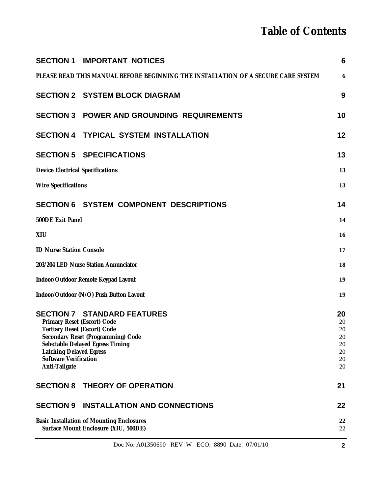# **Table of Contents**

|                                                                                          | Doc No: A01350690 REV W ECO: 8890 Date: 07/01/10                                  | $\mathbf{2}$    |
|------------------------------------------------------------------------------------------|-----------------------------------------------------------------------------------|-----------------|
| <b>Basic Installation of Mounting Enclosures</b><br>Surface Mount Enclosure (XIU, 500DE) |                                                                                   | 22<br>22        |
| <b>SECTION 9</b>                                                                         | <b>INSTALLATION AND CONNECTIONS</b>                                               | 22              |
| <b>SECTION 8</b>                                                                         | <b>THEORY OF OPERATION</b>                                                        | 21              |
| <b>Latching Delayed Egress</b><br><b>Software Verification</b><br>Anti-Tailgate          |                                                                                   | 20<br>20<br>20  |
|                                                                                          | Secondary Reset (Programming) Code<br>Selectable Delayed Egress Timing            | 20<br>20        |
| <b>Tertiary Reset (Escort) Code</b>                                                      |                                                                                   | 20              |
| Primary Reset (Escort) Code                                                              | <b>SECTION 7 STANDARD FEATURES</b>                                                | 20<br>20        |
|                                                                                          | Indoor/Outdoor (N/O) Push Button Layout                                           | 19              |
|                                                                                          | Indoor/Outdoor Remote Keypad Layout                                               | 19              |
| 203/204 LED Nurse Station Annunciator                                                    |                                                                                   | 18              |
|                                                                                          | <b>ID Nurse Station Console</b>                                                   |                 |
| XIU                                                                                      |                                                                                   | 16<br>17        |
| 500DE Exit Panel                                                                         |                                                                                   | 14              |
|                                                                                          | <b>SECTION 6 SYSTEM COMPONENT DESCRIPTIONS</b>                                    | 14              |
|                                                                                          |                                                                                   |                 |
| <b>Wire Specifications</b>                                                               |                                                                                   | 13              |
| <b>Device Electrical Specifications</b>                                                  |                                                                                   | 13              |
|                                                                                          | <b>SECTION 5 SPECIFICATIONS</b>                                                   | 13              |
|                                                                                          | <b>SECTION 4 TYPICAL SYSTEM INSTALLATION</b>                                      | 12              |
|                                                                                          | <b>SECTION 3 POWER AND GROUNDING REQUIREMENTS</b>                                 | 10              |
|                                                                                          | <b>SECTION 2 SYSTEM BLOCK DIAGRAM</b>                                             | 9               |
|                                                                                          | PLEASE READ THIS MANUAL BEFORE BEGINNING THE INSTALLATION OF A SECURE CARE SYSTEM | 6               |
| <b>SECTION 1</b>                                                                         | <b>IMPORTANT NOTICES</b>                                                          | $6\phantom{1}6$ |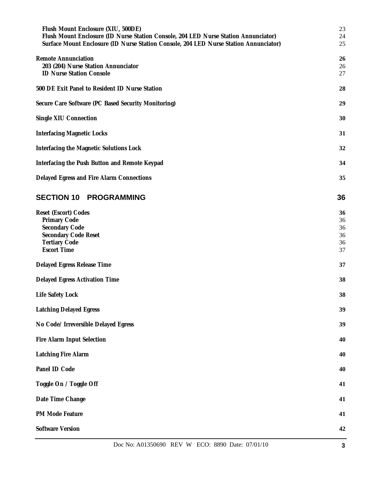| Flush Mount Enclosure (XIU, 500DE)<br>Flush Mount Enclosure (ID Nurse Station Console, 204 LED Nurse Station Annunciator)<br>Surface Mount Enclosure (ID Nurse Station Console, 204 LED Nurse Station Annunciator) | 23<br>24<br>25                   |
|--------------------------------------------------------------------------------------------------------------------------------------------------------------------------------------------------------------------|----------------------------------|
| <b>Remote Annunciation</b><br>203 (204) Nurse Station Annunciator<br><b>ID Nurse Station Console</b>                                                                                                               | 26<br>26<br>27                   |
| 500 DE Exit Panel to Resident ID Nurse Station                                                                                                                                                                     | 28                               |
| Secure Care Software (PC Based Security Monitoring)                                                                                                                                                                | 29                               |
| Single XIU Connection                                                                                                                                                                                              | 30                               |
| <b>Interfacing Magnetic Locks</b>                                                                                                                                                                                  | 31                               |
| Interfacing the Magnetic Solutions Lock                                                                                                                                                                            | 32                               |
| Interfacing the Push Button and Remote Keypad                                                                                                                                                                      | 34                               |
| Delayed Egress and Fire Alarm Connections                                                                                                                                                                          | 35                               |
| <b>SECTION 10 PROGRAMMING</b>                                                                                                                                                                                      | 36                               |
| Reset (Escort) Codes<br>Primary Code<br>Secondary Code<br><b>Secondary Code Reset</b><br><b>Tertiary Code</b><br><b>Escort Time</b>                                                                                | 36<br>36<br>36<br>36<br>36<br>37 |
| Delayed Egress Release Time                                                                                                                                                                                        | 37                               |
| Delayed Egress Activation Time                                                                                                                                                                                     | 38                               |
| Life Safety Lock                                                                                                                                                                                                   | 38                               |
| <b>Latching Delayed Egress</b>                                                                                                                                                                                     | 39                               |
| No Code/ Irreversible Delayed Egress                                                                                                                                                                               | 39                               |
| Fire Alarm Input Selection                                                                                                                                                                                         | 40                               |
| <b>Latching Fire Alarm</b>                                                                                                                                                                                         | 40                               |
| Panel ID Code                                                                                                                                                                                                      | 40                               |
| Toggle On / Toggle Off                                                                                                                                                                                             | 41                               |
| Date Time Change                                                                                                                                                                                                   | 41                               |
| PM Mode Feature                                                                                                                                                                                                    | 41                               |
| <b>Software Version</b>                                                                                                                                                                                            | 42                               |
|                                                                                                                                                                                                                    |                                  |

Doc No: A01350690 REV W ECO: 8890 Date: 07/01/10 3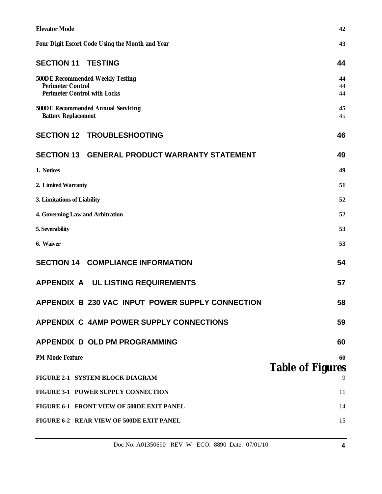| <b>Elevator Mode</b>                                                                         | 42                           |
|----------------------------------------------------------------------------------------------|------------------------------|
| Four Digit Escort Code Using the Month and Year                                              | 43                           |
| <b>SECTION 11 TESTING</b>                                                                    | 44                           |
| 500DE Recommended Weekly Testing<br><b>Perimeter Control</b><br>Perimeter Control with Locks | 44<br>44<br>44               |
| 500DE Recommended Annual Servicing<br><b>Battery Replacement</b>                             | 45<br>45                     |
| <b>SECTION 12 TROUBLESHOOTING</b>                                                            | 46                           |
| SECTION 13 GENERAL PRODUCT WARRANTY STATEMENT                                                | 49                           |
| 1. Notices                                                                                   | 49                           |
| 2. Limited Warranty                                                                          | 51                           |
| 3. Limitations of Liability                                                                  | 52                           |
| 4. Governing Law and Arbitration                                                             | 52                           |
| 5. Severability                                                                              | 53                           |
| 6. Waiver                                                                                    | 53                           |
| <b>SECTION 14 COMPLIANCE INFORMATION</b>                                                     | 54                           |
| APPENDIX A UL LISTING REQUIREMENTS                                                           | 57                           |
| APPENDIX B 230 VAC INPUT POWER SUPPLY CONNECTION                                             | 58                           |
| <b>APPENDIX C 4AMP POWER SUPPLY CONNECTIONS</b>                                              | 59                           |
| <b>APPENDIX D OLD PM PROGRAMMING</b>                                                         | 60                           |
| PM Mode Feature                                                                              | 60                           |
| FIGURE 2-1 SYSTEM BLOCK DIAGRAM                                                              | <b>Table of Figures</b><br>9 |
| FIGURE 3-1 POWER SUPPLY CONNECTION                                                           | 11                           |
| FIGURE 6-1 FRONT VIEW OF 500DE EXIT PANEL                                                    | 14                           |
| FIGURE 6-2 REAR VIEW OF 500DE EXIT PANEL                                                     | 15                           |
|                                                                                              |                              |

Doc No: A01350690 REV W ECO: 8890 Date: 07/01/10 4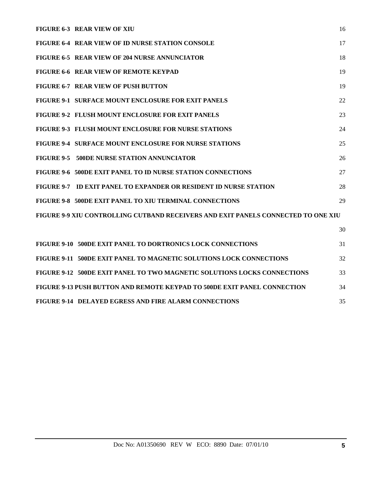| <b>FIGURE 6-3 REAR VIEW OF XIU</b>                                                | 16 |
|-----------------------------------------------------------------------------------|----|
| <b>FIGURE 6-4 REAR VIEW OF ID NURSE STATION CONSOLE</b>                           | 17 |
| FIGURE 6-5 REAR VIEW OF 204 NURSE ANNUNCIATOR                                     | 18 |
| FIGURE 6-6 REAR VIEW OF REMOTE KEYPAD                                             | 19 |
| FIGURE 6-7 REAR VIEW OF PUSH BUTTON                                               | 19 |
| <b>FIGURE 9-1 SURFACE MOUNT ENCLOSURE FOR EXIT PANELS</b>                         | 22 |
| <b>FIGURE 9-2 FLUSH MOUNT ENCLOSURE FOR EXIT PANELS</b>                           | 23 |
| <b>FIGURE 9-3 FLUSH MOUNT ENCLOSURE FOR NURSE STATIONS</b>                        | 24 |
| <b>FIGURE 9-4 SURFACE MOUNT ENCLOSURE FOR NURSE STATIONS</b>                      | 25 |
| <b>FIGURE 9-5 500DE NURSE STATION ANNUNCIATOR</b>                                 | 26 |
| FIGURE 9-6 500DE EXIT PANEL TO ID NURSE STATION CONNECTIONS                       | 27 |
| FIGURE 9-7 ID EXIT PANEL TO EXPANDER OR RESIDENT ID NURSE STATION                 | 28 |
| <b>FIGURE 9-8 500DE EXIT PANEL TO XIU TERMINAL CONNECTIONS</b>                    | 29 |
| FIGURE 9-9 XIU CONTROLLING CUTBAND RECEIVERS AND EXIT PANELS CONNECTED TO ONE XIU |    |
|                                                                                   | 30 |

| FIGURE 9-10 500DE EXIT PANEL TO DORTRONICS LOCK CONNECTIONS              | 31 |
|--------------------------------------------------------------------------|----|
| FIGURE 9-11 500DE EXIT PANEL TO MAGNETIC SOLUTIONS LOCK CONNECTIONS      | 32 |
| FIGURE 9-12 500DE EXIT PANEL TO TWO MAGNETIC SOLUTIONS LOCKS CONNECTIONS | 33 |
| FIGURE 9-13 PUSH BUTTON AND REMOTE KEYPAD TO 500DE EXIT PANEL CONNECTION | 34 |
| <b>FIGURE 9-14 DELAYED EGRESS AND FIRE ALARM CONNECTIONS</b>             | 35 |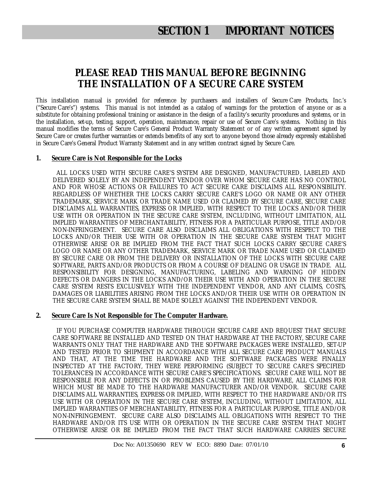## **PLEASE READ THIS MANUAL BEFORE BEGINNING THE INSTALLATION OF A SECURE CARE SYSTEM**

This installation manual is provided for reference by purchasers and installers of Secure Care Products, Inc.'s ("Secure Care's") systems. This manual is not intended as a catalog of warnings for the protection of anyone or as a substitute for obtaining professional training or assistance in the design of a facility's security procedures and systems, or in the installation, set-up, testing, support, operation, maintenance, repair or use of Secure Care's systems. Nothing in this manual modifies the terms of Secure Care's General Product Warranty Statement or of any written agreement signed by Secure Care or creates further warranties or extends benefits of any sort to anyone beyond those already expressly established in Secure Care's General Product Warranty Statement and in any written contract signed by Secure Care.

### **1. Secure Care is Not Responsible for the Locks**

 ALL LOCKS USED WITH SECURE CARE'S SYSTEM ARE DESIGNED, MANUFACTURED, LABELED AND DELIVERED SOLELY BY AN INDEPENDENT VENDOR OVER WHOM SECURE CARE HAS NO CONTROL AND FOR WHOSE ACTIONS OR FAILURES TO ACT SECURE CARE DISCLAIMS ALL RESPONSIBILITY. REGARDLESS OF WHETHER THE LOCKS CARRY SECURE CARE'S LOGO OR NAME OR ANY OTHER TRADEMARK, SERVICE MARK OR TRADE NAME USED OR CLAIMED BY SECURE CARE, SECURE CARE DISCLAIMS ALL WARRANTIES, EXPRESS OR IMPLIED, WITH RESPECT TO THE LOCKS AND/OR THEIR USE WITH OR OPERATION IN THE SECURE CARE SYSTEM, INCLUDING, WITHOUT LIMITATION, ALL IMPLIED WARRANTIES OF MERCHANTABILITY, FITNESS FOR A PARTICULAR PURPOSE, TITLE AND/OR NON-INFRINGEMENT. SECURE CARE ALSO DISCLAIMS ALL OBLIGATIONS WITH RESPECT TO THE LOCKS AND/OR THEIR USE WITH OR OPERATION IN THE SECURE CARE SYSTEM THAT MIGHT OTHERWISE ARISE OR BE IMPLIED FROM THE FACT THAT SUCH LOCKS CARRY SECURE CARE'S LOGO OR NAME OR ANY OTHER TRADEMARK, SERVICE MARK OR TRADE NAME USED OR CLAIMED BY SECURE CARE OR FROM THE DELIVERY OR INSTALLATION OF THE LOCKS WITH SECURE CARE SOFTWARE, PARTS AND/OR PRODUCTS OR FROM A COURSE OF DEALING OR USAGE IN TRADE. ALL RESPONSIBILITY FOR DESIGNING, MANUFACTURING, LABELING AND WARNING OF HIDDEN DEFECTS OR DANGERS IN THE LOCKS AND/OR THEIR USE WITH AND OPERATION IN THE SECURE CARE SYSTEM RESTS EXCLUSIVELY WITH THE INDEPENDENT VENDOR, AND ANY CLAIMS, COSTS, DAMAGES OR LIABILITIES ARISING FROM THE LOCKS AND/OR THEIR USE WITH OR OPERATION IN THE SECURE CARE SYSTEM SHALL BE MADE SOLELY AGAINST THE INDEPENDENT VENDOR.

### **2. Secure Care Is Not Responsible for The Computer Hardware.**

 IF YOU PURCHASE COMPUTER HARDWARE THROUGH SECURE CARE AND REQUEST THAT SECURE CARE SOFTWARE BE INSTALLED AND TESTED ON THAT HARDWARE AT THE FACTORY, SECURE CARE WARRANTS ONLY THAT THE HARDWARE AND THE SOFTWARE PACKAGES WERE INSTALLED, SET-UP AND TESTED PRIOR TO SHIPMENT IN ACCORDANCE WITH ALL SECURE CARE PRODUCT MANUALS AND THAT, AT THE TIME THE HARDWARE AND THE SOFTWARE PACKAGES WERE FINALLY INSPECTED AT THE FACTORY, THEY WERE PERFORMING (SUBJECT TO SECURE CARE'S SPECIFIED TOLERANCES) IN ACCORDANCE WITH SECURE CARE'S SPECIFICATIONS. SECURE CARE WILL NOT BE RESPONSIBLE FOR ANY DEFECTS IN OR PROBLEMS CAUSED BY THE HARDWARE, ALL CLAIMS FOR WHICH MUST BE MADE TO THE HARDWARE MANUFACTURER AND/OR VENDOR. SECURE CARE DISCLAIMS ALL WARRANTIES, EXPRESS OR IMPLIED, WITH RESPECT TO THE HARDWARE AND/OR ITS USE WITH OR OPERATION IN THE SECURE CARE SYSTEM, INCLUDING, WITHOUT LIMITATION, ALL IMPLIED WARRANTIES OF MERCHANTABILITY, FITNESS FOR A PARTICULAR PURPOSE, TITLE AND/OR NON-INFRINGEMENT. SECURE CARE ALSO DISCLAIMS ALL OBLIGATIONS WITH RESPECT TO THE HARDWARE AND/OR ITS USE WITH OR OPERATION IN THE SECURE CARE SYSTEM THAT MIGHT OTHERWISE ARISE OR BE IMPLIED FROM THE FACT THAT SUCH HARDWARE CARRIES SECURE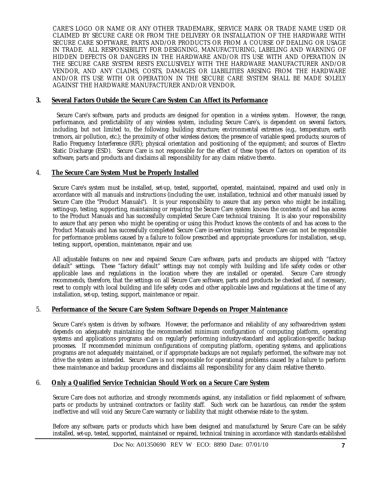CARE'S LOGO OR NAME OR ANY OTHER TRADEMARK, SERVICE MARK OR TRADE NAME USED OR CLAIMED BY SECURE CARE OR FROM THE DELIVERY OR INSTALLATION OF THE HARDWARE WITH SECURE CARE SOFTWARE, PARTS AND/OR PRODUCTS OR FROM A COURSE OF DEALING OR USAGE IN TRADE. ALL RESPONSIBILITY FOR DESIGNING, MANUFACTURING, LABELING AND WARNING OF HIDDEN DEFECTS OR DANGERS IN THE HARDWARE AND/OR ITS USE WITH AND OPERATION IN THE SECURE CARE SYSTEM RESTS EXCLUSIVELY WITH THE HARDWARE MANUFACTURER AND/OR VENDOR, AND ANY CLAIMS, COSTS, DAMAGES OR LIABILITIES ARISING FROM THE HARDWARE AND/OR ITS USE WITH OR OPERATION IN THE SECURE CARE SYSTEM SHALL BE MADE SOLELY AGAINST THE HARDWARE MANUFACTURER AND/OR VENDOR.

### **3. Several Factors Outside the Secure Care System Can Affect its Performance**

 Secure Care's software, parts and products are designed for operation in a wireless system. However, the range, performance, and predictability of any wireless system, including Secure Care's, is dependent on several factors, including, but not limited to, the following: building structure; environmental extremes (e.g., temperature, earth tremors, air pollution, etc.); the proximity of other wireless devices; the presence of variable speed products; sources of Radio Frequency Interference (RFI); physical orientation and positioning of the equipment; and sources of Electro Static Discharge (ESD). Secure Care is not responsible for the effect of these types of factors on operation of its software, parts and products and disclaims all responsibility for any claim relative thereto.

### 4. **The Secure Care System Must be Properly Installed**

Secure Care's system must be installed, set-up, tested, supported, operated, maintained, repaired and used only in accordance with all manuals and instructions (including the user, installation, technical and other manuals) issued by Secure Care (the "Product Manuals"). It is your responsibility to assure that any person who might be installing, setting-up, testing, supporting, maintaining or repairing the Secure Care system knows the contents of and has access to the Product Manuals and has successfully completed Secure Care technical training. It is also your responsibility to assure that any person who might be operating or using this Product knows the contents of and has access to the Product Manuals and has successfully completed Secure Care in-service training. Secure Care can not be responsible for performance problems caused by a failure to follow prescribed and appropriate procedures for installation, set-up, testing, support, operation, maintenance, repair and use.

All adjustable features on new and repaired Secure Care software, parts and products are shipped with "factory default" settings. These "factory default" settings may not comply with building and life safety codes or other applicable laws and regulations in the location where they are installed or operated. Secure Care strongly recommends, therefore, that the settings on all Secure Care software, parts and products be checked and, if necessary, reset to comply with local building and life safety codes and other applicable laws and regulations at the time of any installation, set-up, testing, support, maintenance or repair.

#### 5. **Performance of the Secure Care System Software Depends on Proper Maintenance**

Secure Care's system is driven by software. However, the performance and reliability of any software-driven system depends on adequately maintaining the recommended minimum configuration of computing platform, operating systems and applications programs and on regularly performing industry-standard and application-specific backup processes. If recommended minimum configurations of computing platform, operating systems, and applications programs are not adequately maintained, or if appropriate backups are not regularly performed, the software may not drive the system as intended. Secure Care is not responsible for operational problems caused by a failure to perform these maintenance and backup procedures and disclaims all responsibility for any claim relative thereto.

### 6. **Only a Qualified Service Technician Should Work on a Secure Care System**

Secure Care does not authorize, and strongly recommends against, any installation or field replacement of software, parts or products by untrained contractors or facility staff. Such work can be hazardous, can render the system ineffective and will void any Secure Care warranty or liability that might otherwise relate to the system.

Before any software, parts or products which have been designed and manufactured by Secure Care can be safely installed, set-up, tested, supported, maintained or repaired, technical training in accordance with standards established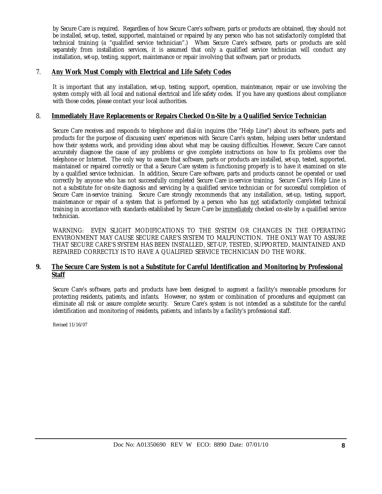by Secure Care is required. Regardless of how Secure Care's software, parts or products are obtained, they should not be installed, set-up, tested, supported, maintained or repaired by any person who has not satisfactorily completed that technical training (a "qualified service technician".) When Secure Care's software, parts or products are sold separately from installation services, it is assumed that only a qualified service technician will conduct any installation, set-up, testing, support, maintenance or repair involving that software, part or products.

### 7. **Any Work Must Comply with Electrical and Life Safety Codes**

It is important that any installation, set-up, testing, support, operation, maintenance, repair or use involving the system comply with all local and national electrical and life safety codes. If you have any questions about compliance with those codes, please contact your local authorities.

### 8. **Immediately Have Replacements or Repairs Checked On-Site by a Qualified Service Technician**

Secure Care receives and responds to telephone and dial-in inquires (the "Help Line") about its software, parts and products for the purpose of discussing users' experiences with Secure Care's system, helping users better understand how their systems work, and providing ideas about what may be causing difficulties. However, Secure Care cannot accurately diagnose the cause of any problems or give complete instructions on how to fix problems over the telephone or Internet. The only way to assure that software, parts or products are installed, set-up, tested, supported, maintained or repaired correctly or that a Secure Care system is functioning properly is to have it examined on site by a qualified service technician. In addition, Secure Care software, parts and products cannot be operated or used correctly by anyone who has not successfully completed Secure Care in-service training. Secure Care's Help Line is not a substitute for on-site diagnosis and servicing by a qualified service technician or for successful completion of Secure Care in-service training. Secure Care strongly recommends that any installation, set-up, testing, support, maintenance or repair of a system that is performed by a person who has not satisfactorily completed technical training in accordance with standards established by Secure Care be immediately checked on-site by a qualified service technician.

WARNING: EVEN SLIGHT MODIFICATIONS TO THE SYSTEM OR CHANGES IN THE OPERATING ENVIRONMENT MAY CAUSE SECURE CARE'S SYSTEM TO MALFUNCTION. THE ONLY WAY TO ASSURE THAT SECURE CARE'S SYSTEM HAS BEEN INSTALLED, SET-UP, TESTED, SUPPORTED, MAINTAINED AND REPAIRED CORRECTLY IS TO HAVE A QUALIFIED SERVICE TECHNICIAN DO THE WORK.

### **9. The Secure Care System is not a Substitute for Careful Identification and Monitoring by Professional Staff**

Secure Care's software, parts and products have been designed to augment a facility's reasonable procedures for protecting residents, patients, and infants. However, no system or combination of procedures and equipment can eliminate all risk or assure complete security. Secure Care's system is not intended as a substitute for the careful identification and monitoring of residents, patients, and infants by a facility's professional staff.

Revised 11/16/07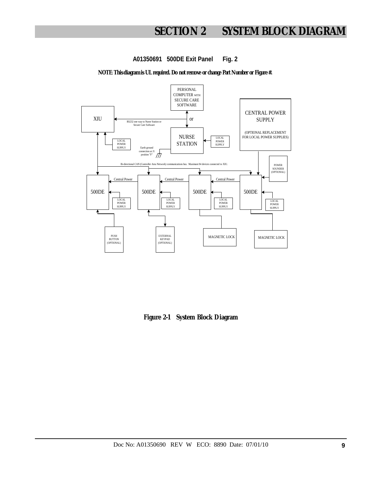# **SECTION 2 SYSTEM BLOCK DIAGRAM**

**A01350691 500DE Exit Panel Fig. 2**

**NOTE**: **This diagram is UL required. Do not remove or change Part Number or Figure #.** 



**Figure 2-1 System Block Diagram**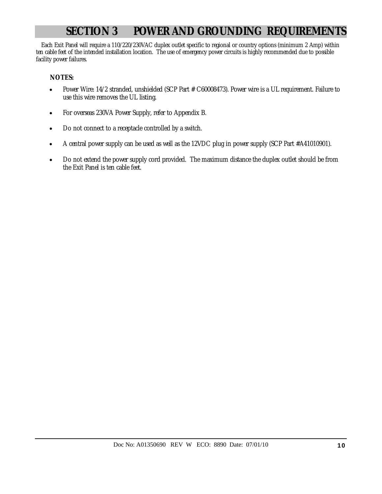# **SECTION 3 POWER AND GROUNDING REQUIREMENTS**

 Each Exit Panel will require a 110/220/230VAC duplex outlet specific to regional or country options (minimum 2 Amp) within ten cable feet of the intended installation location. The use of emergency power circuits is highly recommended due to possible facility power failures.

### **NOTES:**

- Power Wire: 14/2 stranded, unshielded (SCP Part # C60008473). Power wire is a UL requirement. Failure to use this wire removes the UL listing.
- For overseas 230VA Power Supply, refer to Appendix B.
- Do not connect to a receptacle controlled by a switch.
- A central power supply can be used as well as the 12VDC plug in power supply (SCP Part #A41010901).
- Do not extend the power supply cord provided. The maximum distance the duplex outlet should be from the Exit Panel is ten cable feet.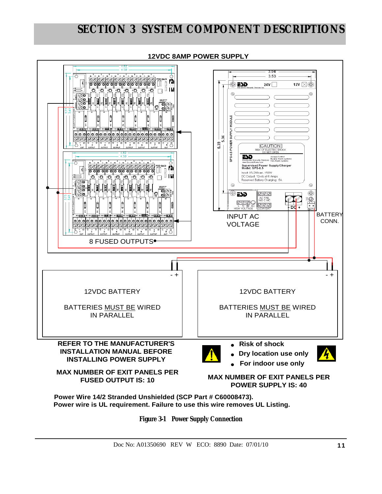**12VDC 8AMP POWER SUPPLY**



**Figure 3-1 Power Supply Connection**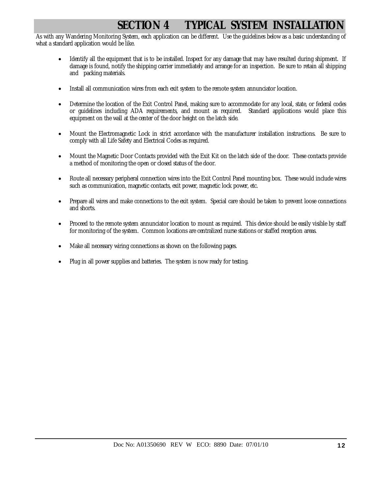# **SECTION 4 • TYPICAL SYSTEM INSTALLATION**

As with any Wandering Monitoring System, each application can be different. Use the guidelines below as a basic understanding of what a standard application would be like.

- Identify all the equipment that is to be installed. Inspect for any damage that may have resulted during shipment. If damage is found, notify the shipping carrier immediately and arrange for an inspection. Be sure to retain all shipping and packing materials.
- Install all communication wires from each exit system to the remote system annunciator location.
- Determine the location of the Exit Control Panel, making sure to accommodate for any local, state, or federal codes or guidelines including ADA requirements, and mount as required. Standard applications would place this equipment on the wall at the center of the door height on the latch side.
- Mount the Electromagnetic Lock in strict accordance with the manufacturer installation instructions. Be sure to comply with all Life Safety and Electrical Codes as required.
- Mount the Magnetic Door Contacts provided with the Exit Kit on the latch side of the door. These contacts provide a method of monitoring the open or closed status of the door.
- Route all necessary peripheral connection wires into the Exit Control Panel mounting box. These would include wires such as communication, magnetic contacts, exit power, magnetic lock power, etc.
- Prepare all wires and make connections to the exit system. Special care should be taken to prevent loose connections and shorts.
- Proceed to the remote system annunciator location to mount as required. This device should be easily visible by staff for monitoring of the system. Common locations are centralized nurse stations or staffed reception areas.
- Make all necessary wiring connections as shown on the following pages.
- Plug in all power supplies and batteries. The system is now ready for testing.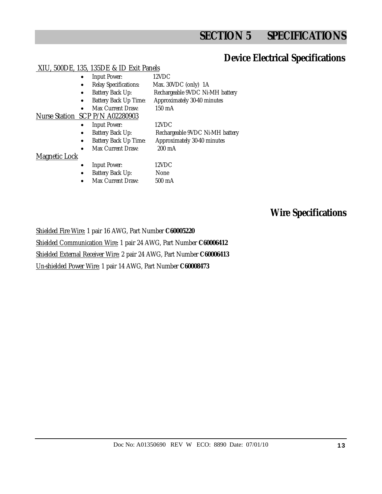# **SECTION 5 SPECIFICATIONS**

### **Device Electrical Specifications**

### XIU, 500DE, 135, 135DE & ID Exit Panels

- Input Power: 12VDC
- Relay Specifications: Max. 30VDC (only) 1A
- Battery Back Up: Rechargeable 9VDC Ni-MH battery
	- Battery Back Up Time: Approximately 30-40 minutes
		- Max Current Draw: 150 mA

### Nurse Station SCP P/N A02280903

- Input Power: 12VDC
	-
- Battery Back Up: Rechargeable 9VDC Ni-MH battery
- Battery Back Up Time: Approximately 30-40 minutes
- Max Current Draw: 200 mA

### Magnetic Lock

- Input Power: 12VDC
- Battery Back Up: None
- Max Current Draw: 500 mA

### **Wire Specifications**

Shielded Fire Wire: 1 pair 16 AWG, Part Number **C60005220** Shielded Communication Wire: 1 pair 24 AWG, Part Number **C60006412**  Shielded External Receiver Wire: 2 pair 24 AWG, Part Number **C60006413** Un-shielded Power Wire: 1 pair 14 AWG, Part Number **C60008473**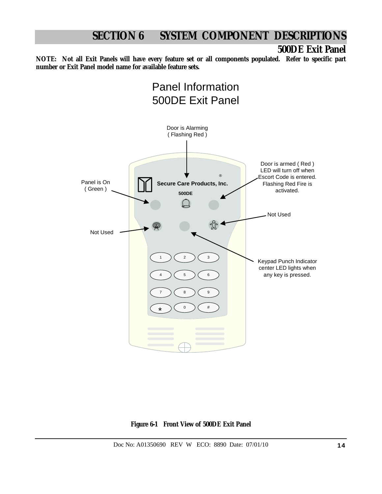### **500DE Exit Panel**

**NOTE: Not all Exit Panels will have every feature set or all components populated. Refer to specific part number or Exit Panel model name for available feature sets.**



**Figure 6-1 Front View of 500DE Exit Panel**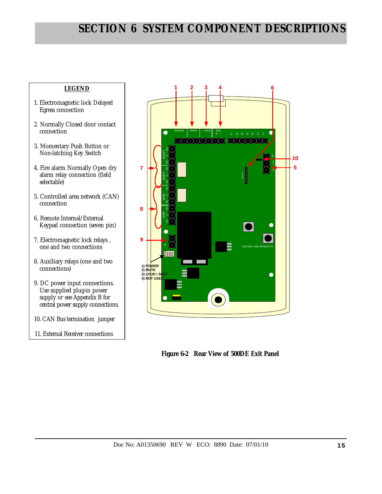### **LEGEND**

- 1. Electromagnetic lock Delayed Egress connection
- 2. Normally Closed door contact connection
- 3. Momentary Push Button or Non-latching Key Switch
- 4. Fire alarm Normally Open dry alarm relay connection (field selectable)
- 5. Controlled area network (CAN) connection
- 6. Remote Internal/External Keypad connection (seven pin)
- 7. Electromagnetic lock relays , one and two connections
- 8. Auxiliary relays (one and two connections)
- 9. DC power input connections. Use supplied plug-in power supply or see Appendix B for central power supply connections.
- 10. CAN Bus termination jumper
- 11. External Receiver connections



 **Figure 6-2 Rear View of 500DE Exit Panel**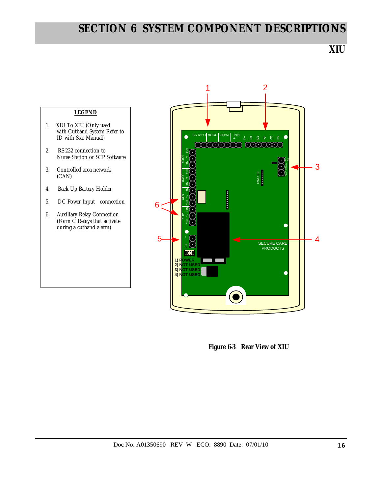**XIU** 



 **Figure 6-3 Rear View of XIU**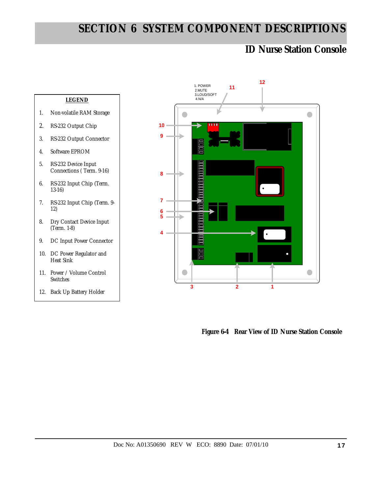### **ID Nurse Station Console**





 **Figure 6-4 Rear View of ID Nurse Station Console**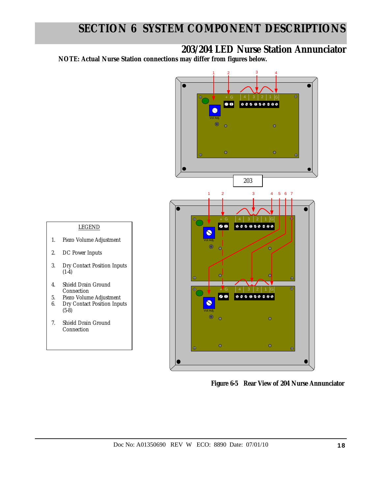**203/204 LED Nurse Station Annunciator** 

**NOTE: Actual Nurse Station connections may differ from figures below.** 

LEGEND

1. Piezo Volume Adjustment

3. Dry Contact Position Inputs

2. DC Power Inputs

4. Shield Drain Ground Connection 5. Piezo Volume Adjustment 6. Dry Contact Position Inputs

7. Shield Drain Ground Connection

 $(1-4)$ 

(5-8)



 **Figure 6-5 Rear View of 204 Nurse Annunciator**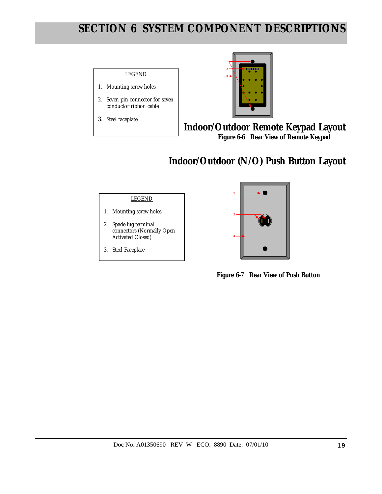### LEGEND **<sup>3</sup>**

- 1. Mounting screw holes
- 2. Seven pin connector for seven conductor ribbon cable
- 3. Steel faceplate



**Indoor/Outdoor Remote Keypad Layout Figure 6-6 Rear View of Remote Keypad** 

# **Indoor/Outdoor (N/O) Push Button Layout**

### LEGEND

- 1. Mounting screw holes
- 2. Spade lug terminal connectors (Normally Open – Activated Closed)
- 3. Steel Faceplate



 **Figure 6-7 Rear View of Push Button**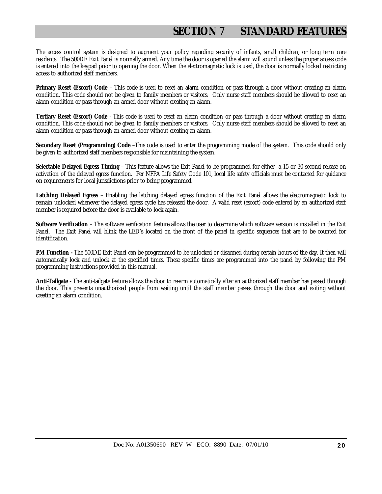# **SECTION 7 STANDARD FEATURES**

The access control system is designed to augment your policy regarding security of infants, small children, or long term care residents. The 500DE Exit Panel is normally armed. Any time the door is opened the alarm will sound unless the proper access code is entered into the keypad prior to opening the door. When the electromagnetic lock is used, the door is normally locked restricting access to authorized staff members.

**Primary Reset (Escort) Code** – This code is used to reset an alarm condition or pass through a door without creating an alarm condition. This code should not be given to family members or visitors. Only nurse staff members should be allowed to reset an alarm condition or pass through an armed door without creating an alarm.

**Tertiary Reset (Escort) Code** - This code is used to reset an alarm condition or pass through a door without creating an alarm condition. This code should not be given to family members or visitors. Only nurse staff members should be allowed to reset an alarm condition or pass through an armed door without creating an alarm.

**Secondary Reset (Programming) Code** –This code is used to enter the programming mode of the system. This code should only be given to authorized staff members responsible for maintaining the system.

**Selectable Delayed Egress Timing** – This feature allows the Exit Panel to be programmed for either a 15 or 30 second release on activation of the delayed egress function. Per NFPA Life Safety Code 101, local life safety officials must be contacted for guidance on requirements for local jurisdictions prior to being programmed.

**Latching Delayed Egress** – Enabling the latching delayed egress function of the Exit Panel allows the electromagnetic lock to remain unlocked whenever the delayed egress cycle has released the door. A valid reset (escort) code entered by an authorized staff member is required before the door is available to lock again.

**Software Verification** – The software verification feature allows the user to determine which software version is installed in the Exit Panel. The Exit Panel will blink the LED's located on the front of the panel in specific sequences that are to be counted for identification.

**PM Function -** The 500DE Exit Panel can be programmed to be unlocked or disarmed during certain hours of the day. It then will automatically lock and unlock at the specified times. These specific times are programmed into the panel by following the PM programming instructions provided in this manual.

**Anti-Tailgate -** The anti-tailgate feature allows the door to re-arm automatically after an authorized staff member has passed through the door. This prevents unauthorized people from waiting until the staff member passes through the door and exiting without creating an alarm condition.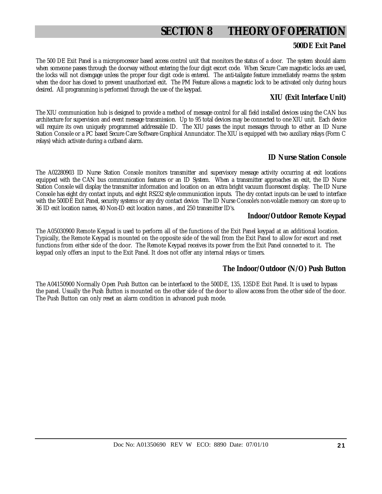## **SECTION 8 THEORY OF OPERATION**

### **500DE Exit Panel**

The 500 DE Exit Panel is a microprocessor based access control unit that monitors the status of a door. The system should alarm when someone passes through the doorway without entering the four digit escort code. When Secure Care magnetic locks are used, the locks will not disengage unless the proper four digit code is entered. The anti-tailgate feature immediately re-arms the system when the door has closed to prevent unauthorized exit. The PM Feature allows a magnetic lock to be activated only during hours desired. All programming is performed through the use of the keypad.

### **XIU (Exit Interface Unit)**

The XIU communication hub is designed to provide a method of message control for all field installed devices using the CAN bus architecture for supervision and event message transmission. Up to 95 total devices may be connected to one XIU unit. Each device will require its own uniquely programmed addressable ID. The XIU passes the input messages through to either an ID Nurse Station Console or a PC based Secure Care Software Graphical Annunciator. The XIU is equipped with two auxiliary relays (Form C relays) which activate during a cutband alarm.

### **ID Nurse Station Console**

The A02280903 ID Nurse Station Console monitors transmitter and supervisory message activity occurring at exit locations equipped with the CAN bus communication features or an ID System. When a transmitter approaches an exit, the ID Nurse Station Console will display the transmitter information and location on an extra bright vacuum fluorescent display. The ID Nurse Console has eight dry contact inputs, and eight RS232 style communication inputs. The dry contact inputs can be used to interface with the 500DE Exit Panel, security systems or any dry contact device. The ID Nurse Console's non-volatile memory can store up to 36 ID exit location names, 40 Non-ID exit location names , and 250 transmitter ID's.

### **Indoor/Outdoor Remote Keypad**

The A05030900 Remote Keypad is used to perform all of the functions of the Exit Panel keypad at an additional location. Typically, the Remote Keypad is mounted on the opposite side of the wall from the Exit Panel to allow for escort and reset functions from either side of the door. The Remote Keypad receives its power from the Exit Panel connected to it. The keypad only offers an input to the Exit Panel. It does not offer any internal relays or timers.

### **The Indoor/Outdoor (N/O) Push Button**

The A04150900 Normally Open Push Button can be interfaced to the 500DE, 135, 135DE Exit Panel. It is used to bypass the panel. Usually the Push Button is mounted on the other side of the door to allow access from the other side of the door. The Push Button can only reset an alarm condition in advanced push mode.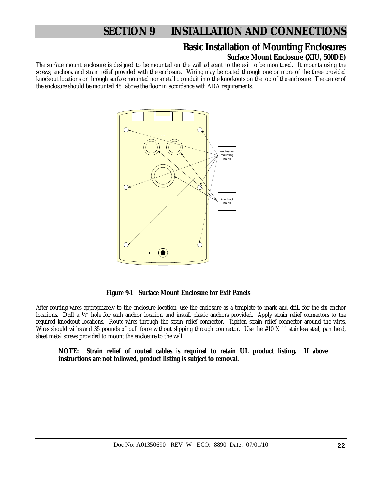### **Basic Installation of Mounting Enclosures**

### **Surface Mount Enclosure (XIU, 500DE)**

The surface mount enclosure is designed to be mounted on the wall adjacent to the exit to be monitored. It mounts using the screws, anchors, and strain relief provided with the enclosure. Wiring may be routed through one or more of the three provided knockout locations or through surface mounted non-metallic conduit into the knockouts on the top of the enclosure. The center of the enclosure should be mounted 48" above the floor in accordance with ADA requirements.



 **Figure 9-1 Surface Mount Enclosure for Exit Panels** 

After routing wires appropriately to the enclosure location, use the enclosure as a template to mark and drill for the six anchor locations. Drill a ¼" hole for each anchor location and install plastic anchors provided. Apply strain relief connectors to the required knockout locations. Route wires through the strain relief connector. Tighten strain relief connector around the wires. Wires should withstand 35 pounds of pull force without slipping through connector. Use the #10 X 1" stainless steel, pan head, sheet metal screws provided to mount the enclosure to the wall.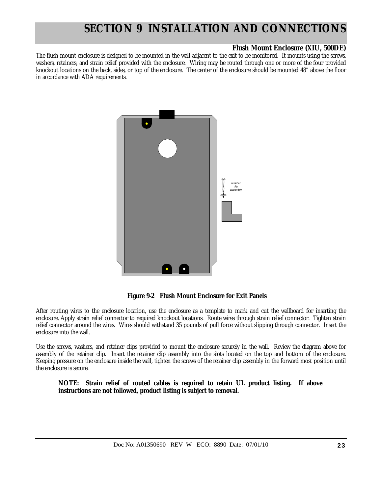### **Flush Mount Enclosure (XIU, 500DE)**

The flush mount enclosure is designed to be mounted in the wall adjacent to the exit to be monitored. It mounts using the screws, washers, retainers, and strain relief provided with the enclosure. Wiring may be routed through one or more of the four provided knockout locations on the back, sides, or top of the enclosure. The center of the enclosure should be mounted 48" above the floor in accordance with ADA requirements.



2

 **Figure 9-2 Flush Mount Enclosure for Exit Panels** 

After routing wires to the enclosure location, use the enclosure as a template to mark and cut the wallboard for inserting the enclosure. Apply strain relief connector to required knockout locations. Route wires through strain relief connector. Tighten strain relief connector around the wires. Wires should withstand 35 pounds of pull force without slipping through connector. Insert the enclosure into the wall.

Use the screws, washers, and retainer clips provided to mount the enclosure securely in the wall. Review the diagram above for assembly of the retainer clip. Insert the retainer clip assembly into the slots located on the top and bottom of the enclosure. Keeping pressure on the enclosure inside the wall, tighten the screws of the retainer clip assembly in the forward most position until the enclosure is secure.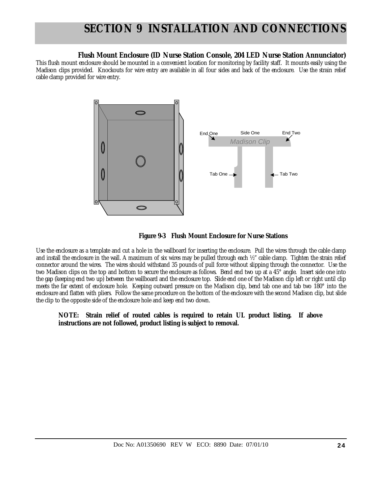### **Flush Mount Enclosure (ID Nurse Station Console, 204 LED Nurse Station Annunciator)**

This flush mount enclosure should be mounted in a convenient location for monitoring by facility staff. It mounts easily using the Madison clips provided. Knockouts for wire entry are available in all four sides and back of the enclosure. Use the strain relief cable clamp provided for wire entry.





Use the enclosure as a template and cut a hole in the wallboard for inserting the enclosure. Pull the wires through the cable clamp and install the enclosure in the wall. A maximum of six wires may be pulled through each ½" cable clamp. Tighten the strain relief connector around the wires. The wires should withstand 35 pounds of pull force without slipping through the connector. Use the two Madison clips on the top and bottom to secure the enclosure as follows. Bend end two up at a 45° angle. Insert side one into the gap (keeping end two up) between the wallboard and the enclosure top. Slide end one of the Madison clip left or right until clip meets the far extent of enclosure hole. Keeping outward pressure on the Madison clip, bend tab one and tab two 180° into the enclosure and flatten with pliers. Follow the same procedure on the bottom of the enclosure with the second Madison clip, but slide the clip to the opposite side of the enclosure hole and keep end two down.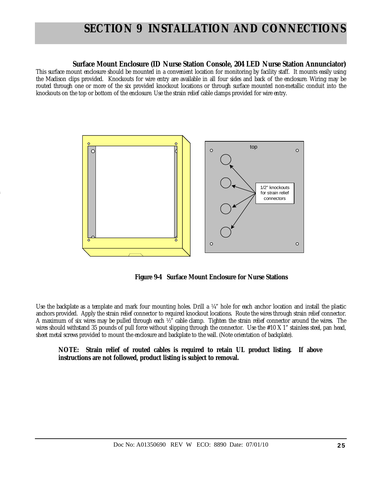### **Surface Mount Enclosure (ID Nurse Station Console, 204 LED Nurse Station Annunciator)**

This surface mount enclosure should be mounted in a convenient location for monitoring by facility staff. It mounts easily using the Madison clips provided. Knockouts for wire entry are available in all four sides and back of the enclosure. Wiring may be routed through one or more of the six provided knockout locations or through surface mounted non-metallic conduit into the knockouts on the top or bottom of the enclosure. Use the strain relief cable clamps provided for wire entry.



4

 **Figure 9-4 Surface Mount Enclosure for Nurse Stations** 

Use the backplate as a template and mark four mounting holes. Drill a ¼" hole for each anchor location and install the plastic anchors provided. Apply the strain relief connector to required knockout locations. Route the wires through strain relief connector. A maximum of six wires may be pulled through each ½" cable clamp. Tighten the strain relief connector around the wires. The wires should withstand 35 pounds of pull force without slipping through the connector. Use the #10 X 1" stainless steel, pan head, sheet metal screws provided to mount the enclosure and backplate to the wall. (Note orientation of backplate).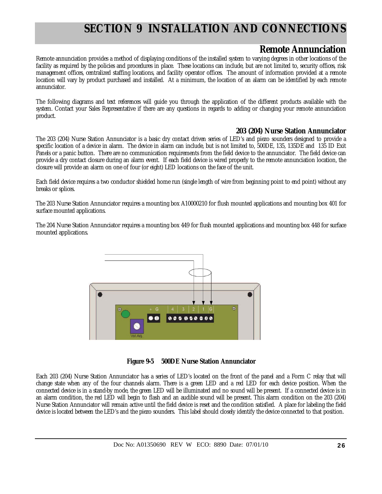### **Remote Annunciation**

Remote annunciation provides a method of displaying conditions of the installed system to varying degrees in other locations of the facility as required by the policies and procedures in place. These locations can include, but are not limited to, security offices, risk management offices, centralized staffing locations, and facility operator offices. The amount of information provided at a remote location will vary by product purchased and installed. At a minimum, the location of an alarm can be identified by each remote annunciator.

The following diagrams and text references will guide you through the application of the different products available with the system. Contact your Sales Representative if there are any questions in regards to adding or changing your remote annunciation product.

### **203 (204) Nurse Station Annunciator**

The 203 (204) Nurse Station Annunciator is a basic dry contact driven series of LED's and piezo sounders designed to provide a specific location of a device in alarm. The device in alarm can include, but is not limited to, 500DE, 135, 135DE and 135 ID Exit Panels or a panic button. There are no communication requirements from the field device to the annunciator. The field device can provide a dry contact closure during an alarm event. If each field device is wired properly to the remote annunciation location, the closure will provide an alarm on one of four (or eight) LED locations on the face of the unit.

Each field device requires a two conductor shielded home run (single length of wire from beginning point to end point) without any breaks or splices.

The 203 Nurse Station Annunciator requires a mounting box A10000210 for flush mounted applications and mounting box 401 for surface mounted applications.

The 204 Nurse Station Annunciator requires a mounting box 449 for flush mounted applications and mounting box 448 for surface mounted applications.



**Figure 9-5 500DE Nurse Station Annunciator** 

Each 203 (204) Nurse Station Annunciator has a series of LED's located on the front of the panel and a Form C relay that will change state when any of the four channels alarm. There is a green LED and a red LED for each device position. When the connected device is in a stand-by mode, the green LED will be illuminated and no sound will be present. If a connected device is in an alarm condition, the red LED will begin to flash and an audible sound will be present. This alarm condition on the 203 (204) Nurse Station Annunciator will remain active until the field device is reset and the condition satisfied. A place for labeling the field device is located between the LED's and the piezo sounders. This label should closely identify the device connected to that position.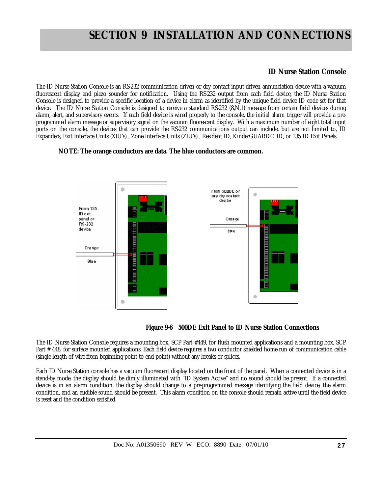### **ID Nurse Station Console**

The ID Nurse Station Console is an RS-232 communication driven or dry contact input driven annunciation device with a vacuum fluorescent display and piezo sounder for notification. Using the RS-232 output from each field device, the ID Nurse Station Console is designed to provide a specific location of a device in alarm as identified by the unique field device ID code set for that device. The ID Nurse Station Console is designed to receive a standard RS-232 (8,N,1) message from certain field devices during alarm, alert, and supervisory events. If each field device is wired properly to the console, the initial alarm trigger will provide a preprogrammed alarm message or supervisory signal on the vacuum fluorescent display. With a maximum number of eight total input ports on the console, the devices that can provide the RS-232 communications output can include, but are not limited to, ID Expanders, Exit Interface Units (XIU's) , Zone Interface Units (ZIU's) , Resident ID, KinderGUARD® ID, or 135 ID Exit Panels.

### **NOTE: The orange conductors are data. The blue conductors are common.**





The ID Nurse Station Console requires a mounting box, SCP Part #449, for flush mounted applications and a mounting box, SCP Part # 448, for surface mounted applications. Each field device requires a two conductor shielded home run of communication cable (single length of wire from beginning point to end point) without any breaks or splices.

Each ID Nurse Station console has a vacuum fluorescent display located on the front of the panel. When a connected device is in a stand-by mode, the display should be dimly illuminated with "ID System Active" and no sound should be present. If a connected device is in an alarm condition, the display should change to a pre-programmed message identifying the field device, the alarm condition, and an audible sound should be present. This alarm condition on the console should remain active until the field device is reset and the condition satisfied.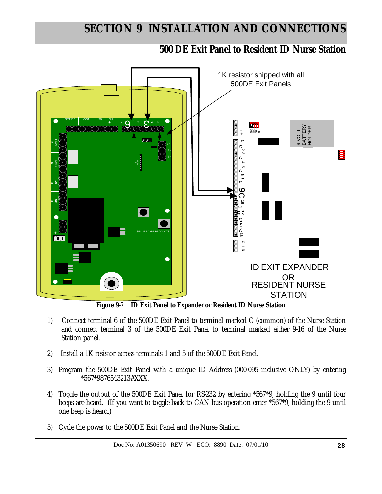**500 DE Exit Panel to Resident ID Nurse Station** 



**Figure 9-7 ID Exit Panel to Expander or Resident ID Nurse Station** 

- 1) Connect terminal 6 of the 500DE Exit Panel to terminal marked C (common) of the Nurse Station and connect terminal 3 of the 500DE Exit Panel to terminal marked either 9-16 of the Nurse Station panel.
- 2) Install a 1K resistor across terminals 1 and 5 of the 500DE Exit Panel.
- 3) Program the 500DE Exit Panel with a unique ID Address (000-095 inclusive ONLY) by entering \*567\*9876543213#XXX.
- 4) Toggle the output of the 500DE Exit Panel for RS-232 by entering \*567\*9, holding the 9 until four beeps are heard. (If you want to toggle back to CAN bus operation enter \*567\*9, holding the 9 until one beep is heard.)
- 5) Cycle the power to the 500DE Exit Panel and the Nurse Station.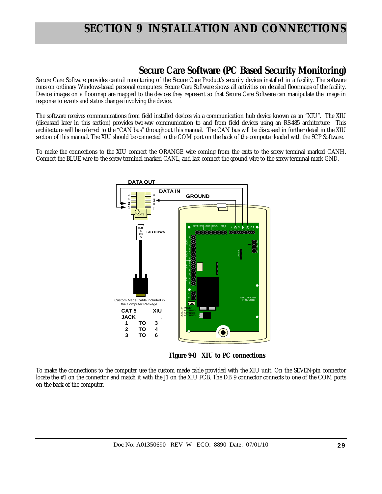### **Secure Care Software (PC Based Security Monitoring)**

Secure Care Software provides central monitoring of the Secure Care Product's security devices installed in a facility. The software runs on ordinary Windows-based personal computers. Secure Care Software shows all activities on detailed floormaps of the facility. Device images on a floormap are mapped to the devices they represent so that Secure Care Software can manipulate the image in response to events and status changes involving the device.

The software receives communications from field installed devices via a communication hub device known as an "XIU". The XIU (discussed later in this section) provides two-way communication to and from field devices using an RS-485 architecture. This architecture will be referred to the "CAN bus" throughout this manual. The CAN bus will be discussed in further detail in the XIU section of this manual. The XIU should be connected to the COM port on the back of the computer loaded with the SCP Software.

To make the connections to the XIU connect the ORANGE wire coming from the exits to the screw terminal marked CANH. Connect the BLUE wire to the screw terminal marked CANL, and last connect the ground wire to the screw terminal mark GND.



**Figure 9-8 XIU to PC connections** 

To make the connections to the computer use the custom made cable provided with the XIU unit. On the SEVEN-pin connector locate the #1 on the connector and match it with the J1 on the XIU PCB. The DB 9 connector connects to one of the COM ports on the back of the computer.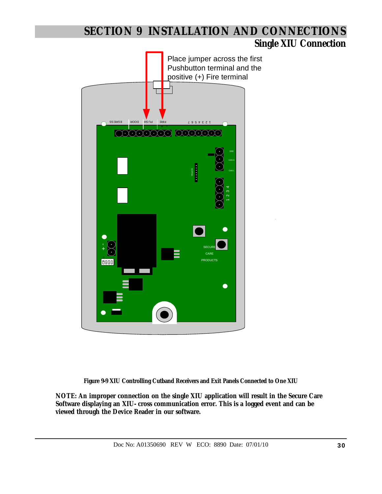### **Single XIU Connection**



**Figure 9-9 XIU Controlling Cutband Receivers and Exit Panels Connected to One XIU** 

**NOTE: An improper connection on the single XIU application will result in the Secure Care Software displaying an XIU- cross communication error. This is a logged event and can be viewed through the Device Reader in our software.**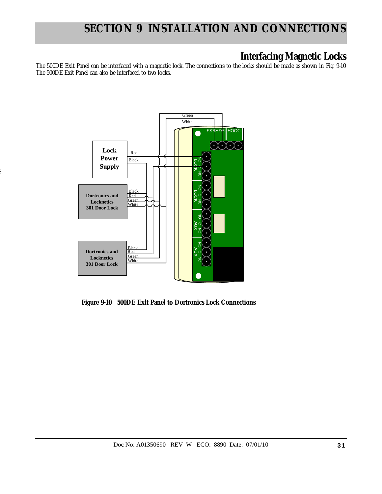### **Interfacing Magnetic Locks**

The 500DE Exit Panel can be interfaced with a magnetic lock. The connections to the locks should be made as shown in Fig. 9-10 The 500DE Exit Panel can also be interfaced to two locks.



6

 **Figure 9-10 500DE Exit Panel to Dortronics Lock Connections**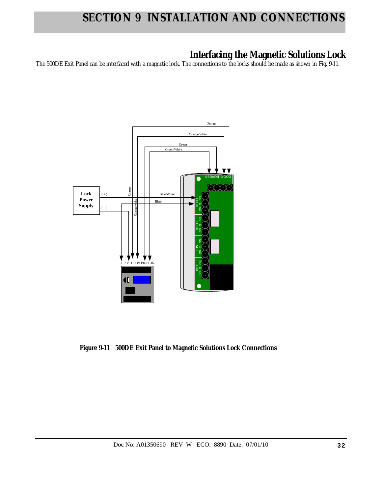## **Interfacing the Magnetic Solutions Lock**

The 500DE Exit Panel can be interfaced with a magnetic lock. The connections to the locks should be made as shown in Fig. 9-11.



 **Figure 9-11 500DE Exit Panel to Magnetic Solutions Lock Connections**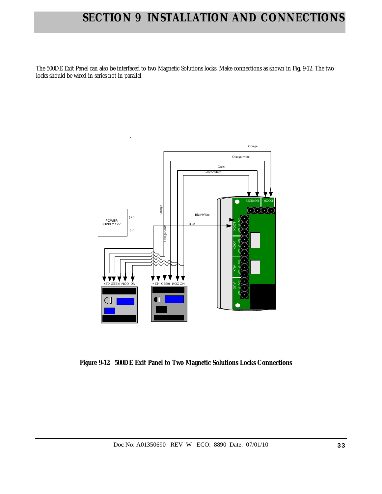The 500DE Exit Panel can also be interfaced to two Magnetic Solutions locks. Make connections as shown in Fig. 9-12. The two locks should be wired in series not in parallel.



 **Figure 9-12 500DE Exit Panel to Two Magnetic Solutions Locks Connections**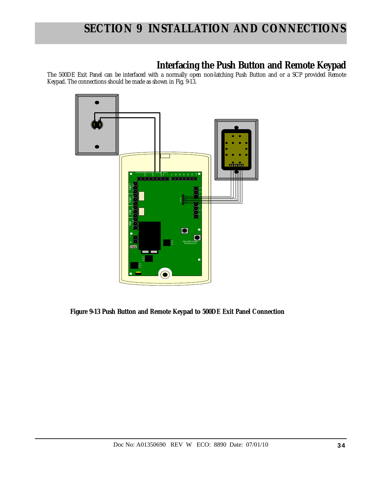## **Interfacing the Push Button and Remote Keypad**

The 500DE Exit Panel can be interfaced with a normally open non-latching Push Button and or a SCP provided Remote Keypad. The connections should be made as shown in Fig. 9-13.



 **Figure 9-13 Push Button and Remote Keypad to 500DE Exit Panel Connection**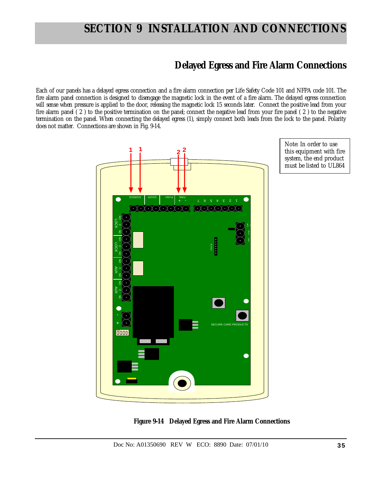### **Delayed Egress and Fire Alarm Connections**

Each of our panels has a delayed egress connection and a fire alarm connection per Life Safety Code 101 and NFPA code 101. The fire alarm panel connection is designed to disengage the magnetic lock in the event of a fire alarm. The delayed egress connection will sense when pressure is applied to the door, releasing the magnetic lock 15 seconds later. Connect the positive lead from your fire alarm panel ( 2 ) to the positive termination on the panel; connect the negative lead from your fire panel ( 2 ) to the negative termination on the panel. When connecting the delayed egress (1), simply connect both leads from the lock to the panel. Polarity does not matter. Connections are shown in Fig. 9-14.





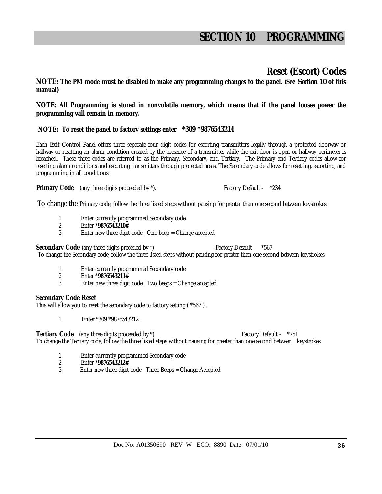### **Reset (Escort) Codes**

**NOTE: The PM mode must be disabled to make any programming changes to the panel. (See** *Section 10* **of this manual)** 

**NOTE: All Programming is stored in nonvolatile memory, which means that if the panel looses power the programming will remain in memory.** 

### **NOTE: To reset the panel to factory settings enter** *\****309 \*9876543214**

Each Exit Control Panel offers three separate four digit codes for escorting transmitters legally through a protected doorway or hallway or resetting an alarm condition created by the presence of a transmitter while the exit door is open or hallway perimeter is breached. These three codes are referred to as the Primary, Secondary, and Tertiary. The Primary and Tertiary codes allow for resetting alarm conditions and escorting transmitters through protected areas. The Secondary code allows for resetting, escorting, and programming in all conditions.

**Primary Code** (any three digits proceeded by  $*\lambda$ ). Factory Default -  $*234$ 

To change the Primary code, follow the three listed steps without pausing for greater than one second between keystrokes.

- 1. Enter currently programmed Secondary code
- 2. Enter **\*9876543210#**
- 3. Enter new three digit code. One beep = Change accepted

**Secondary Code** (any three digits preceded by  $*$ ) Factory Default -  $*567$ 

To change the Secondary code, follow the three listed steps without pausing for greater than one second between keystrokes.

- 1. Enter currently programmed Secondary code<br>2. Enter \*9876543211#
- 2. Enter **\*9876543211#**
- Enter new three digit code. Two beeps = Change accepted

### **Secondary Code Reset**

This will allow you to reset the secondary code to factory setting ( \*567 ) .

1. Enter \*309 \*9876543212 .

**Tertiary Code** (any three digits proceeded by \*). The state of the state of the state of the state of the state of the state of the state of the state of the state of the state of the state of the state of the state of th

To change the Tertiary code, follow the three listed steps without pausing for greater than one second between keystrokes.

- 1. Enter currently programmed Secondary code
- 2. Enter **\*9876543212#**
- 3. Enter new three digit code. Three Beeps = Change Accepted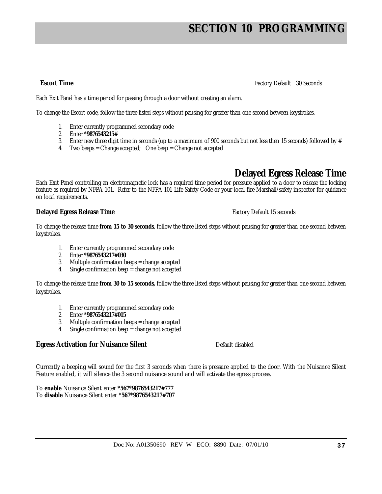**Escort Time** Factory Default 30 Seconds

Each Exit Panel has a time period for passing through a door without creating an alarm.

To change the Escort code, follow the three listed steps without pausing for greater than one second between keystrokes.

- 1. Enter currently programmed secondary code
- 2. Enter **\*9876543215#**
- 3. Enter new three digit time in seconds (up to a maximum of 900 seconds but not less then 15 seconds) followed by  $#$
- 4. Two beeps = Change accepted; One beep = Change not accepted

### **Delayed Egress Release Time**

Each Exit Panel controlling an electromagnetic lock has a required time period for pressure applied to a door to release the locking feature as required by NFPA 101. Refer to the NFPA 101 Life Safety Code or your local fire Marshall/safety inspector for guidance on local requirements.

### **Delayed Egress Release Time Factory Default 15 seconds**

To change the release time **from 15 to 30 seconds**, follow the three listed steps without pausing for greater than one second between keystrokes.

- 1. Enter currently programmed secondary code
- 2. Enter **\*9876543217#030**
- 3. Multiple confirmation beeps = change accepted
- 4. Single confirmation beep = change not accepted

To change the release time **from 30 to 15 seconds,** follow the three listed steps without pausing for greater than one second between keystrokes.

- 1. Enter currently programmed secondary code
- 2. Enter **\*9876543217#015**
- 3. Multiple confirmation beeps = change accepted
- 4. Single confirmation beep = change not accepted

### **Egress Activation for Nuisance Silent** Default disabled

Currently a beeping will sound for the first 3 seconds when there is pressure applied to the door. With the Nuisance Silent Feature enabled, it will silence the 3 second nuisance sound and will activate the egress process.

To **enable** Nuisance Silent enter **\*567\*9876543217#777** To **disable** Nuisance Silent enter **\*567\*9876543217#707**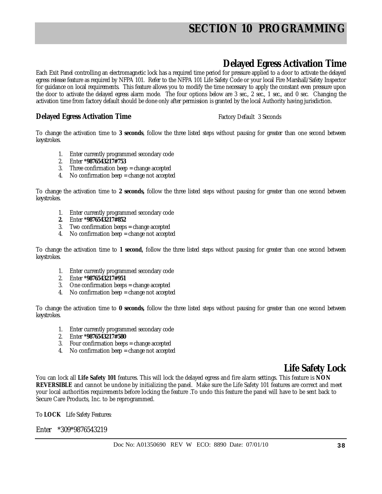## **Delayed Egress Activation Time**

Each Exit Panel controlling an electromagnetic lock has a required time period for pressure applied to a door to activate the delayed egress release feature as required by NFPA 101. Refer to the NFPA 101 Life Safety Code or your local Fire Marshall/Safety Inspector for guidance on local requirements. This feature allows you to modify the time necessary to apply the constant even pressure upon the door to activate the delayed egress alarm mode. The four options below are 3 sec., 2 sec., 1 sec., and 0 sec. Changing the activation time from factory default should be done only after permission is granted by the local Authority having jurisdiction.

### **Delayed Egress Activation Time** Factory Default 3 Seconds

To change the activation time to **3 seconds**, follow the three listed steps without pausing for greater than one second between keystrokes.

- 1. Enter currently programmed secondary code
- 2. Enter **\*9876543217#753**
- 3. Three confirmation beep = change accepted
- 4. No confirmation beep = change not accepted

To change the activation time to **2 seconds,** follow the three listed steps without pausing for greater than one second between keystrokes.

- 1. Enter currently programmed secondary code
- **2.** Enter **\*9876543217#852**
- 3. Two confirmation beeps = change accepted
- 4. No confirmation beep = change not accepted

To change the activation time to **1 second,** follow the three listed steps without pausing for greater than one second between keystrokes.

- 1. Enter currently programmed secondary code
- 2. Enter **\*9876543217#951**
- 3. One confirmation beeps = change accepted
- 4. No confirmation beep  $=$  change not accepted

To change the activation time to **0 seconds,** follow the three listed steps without pausing for greater than one second between keystrokes.

- 1. Enter currently programmed secondary code
- 2. Enter **\*9876543217#580**
- 3. Four confirmation beeps = change accepted
- 4. No confirmation beep = change not accepted

### **Life Safety Lock**

You can lock all **Life Safety 101** features. This will lock the delayed egress and fire alarm settings. This feature is **NON REVERSIBLE** and cannot be undone by initializing the panel. Make sure the Life Safety 101 features are correct and meet your local authorities requirements before locking the feature .To undo this feature the panel will have to be sent back to Secure Care Products, Inc. to be reprogrammed.

To **LOCK** Life Safety Features:

Enter \*309\*9876543219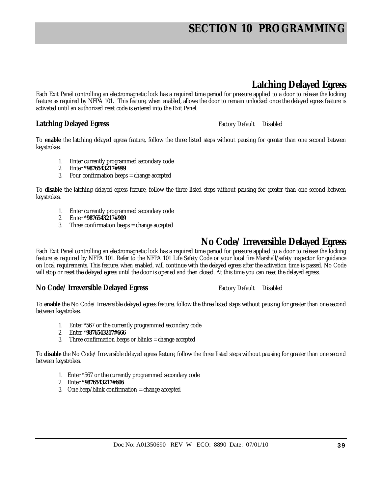## **Latching Delayed Egress**

Each Exit Panel controlling an electromagnetic lock has a required time period for pressure applied to a door to release the locking feature as required by NFPA 101. This feature, when enabled, allows the door to remain unlocked once the delayed egress feature is activated until an authorized reset code is entered into the Exit Panel.

### **Latching Delayed Egress** Factory Default Disabled

To **enable** the latching delayed egress feature, follow the three listed steps without pausing for greater than one second between keystrokes.

- 1. Enter currently programmed secondary code
- 2. Enter **\*9876543217#999**
- 3. Four confirmation beeps = change accepted

To **disable** the latching delayed egress feature, follow the three listed steps without pausing for greater than one second between keystrokes.

- 1. Enter currently programmed secondary code
- 2. Enter **\*9876543217#909**
- 3. Three confirmation beeps = change accepted

### **No Code/ Irreversible Delayed Egress**

Each Exit Panel controlling an electromagnetic lock has a required time period for pressure applied to a door to release the locking feature as required by NFPA 101. Refer to the NFPA 101 Life Safety Code or your local fire Marshall/safety inspector for guidance on local requirements. This feature, when enabled, will continue with the delayed egress after the activation time is passed. No Code will stop or reset the delayed egress until the door is opened and then closed. At this time you can reset the delayed egress.

### **No Code/ Irreversible Delayed Egress** Factory Default Disabled

To **enable** the No Code/ Irreversible delayed egress feature, follow the three listed steps without pausing for greater than one second between keystrokes.

- 1. Enter \*567 or the currently programmed secondary code
- 2. Enter **\*9876543217#666**
- 3. Three confirmation beeps or blinks = change accepted

To **disable** the No Code/ Irreversible delayed egress feature, follow the three listed steps without pausing for greater than one second between keystrokes.

- 1. Enter \*567 or the currently programmed secondary code
- 2. Enter **\*9876543217#606**
- 3. One beep/blink confirmation = change accepted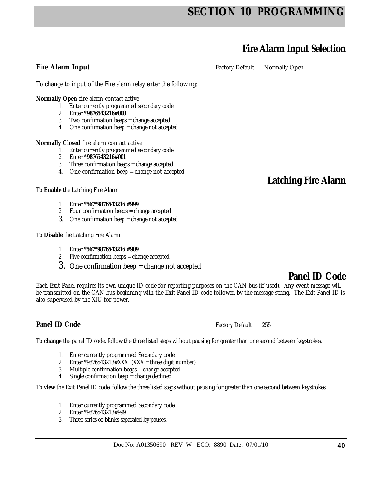## **Fire Alarm Input Selection**

**Fire Alarm Input Factory Default** Normally Open

To change to input of the Fire alarm relay enter the following:

**Normally Open** fire alarm contact active

- 1. Enter currently programmed secondary code
- 2. Enter **\*9876543216#000**
- 3. Two confirmation beeps = change accepted
- 4. One confirmation beep = change not accepted

**Normally Closed** fire alarm contact active

- 1. Enter currently programmed secondary code
- 2. Enter **\*9876543216#001**
- 3. Three confirmation beeps = change accepted
- 4. One confirmation beep = change not accepted

To **Enable** the Latching Fire Alarm

- 1. Enter \***567\*9876543216 #999**
- 2. Four confirmation beeps = change accepted
- 3. One confirmation beep = change not accepted

To **Disable** the Latching Fire Alarm

- 1. Enter \***567\*9876543216 #909**
- 2. Five confirmation beeps = change accepted
- 3. One confirmation beep = change not accepted

### **Panel ID Code**

**Latching Fire Alarm** 

Each Exit Panel requires its own unique ID code for reporting purposes on the CAN bus (if used). Any event message will be transmitted on the CAN bus beginning with the Exit Panel ID code followed by the message string. The Exit Panel ID is also supervised by the XIU for power.

**Panel ID Code Factory Default 255** 

To **change** the panel ID code, follow the three listed steps without pausing for greater than one second between keystrokes.

- 1. Enter currently programmed Secondary code
- 2. Enter \*9876543213#XXX  $(XXX = three digit number)$
- 3. Multiple confirmation beeps = change accepted
- 4. Single confirmation beep = change declined

To **view** the Exit Panel ID code, follow the three listed steps without pausing for greater than one second between keystrokes.

- 1. Enter currently programmed Secondary code
- 2. Enter \*9876543213#999
- 3. Three series of blinks separated by pauses.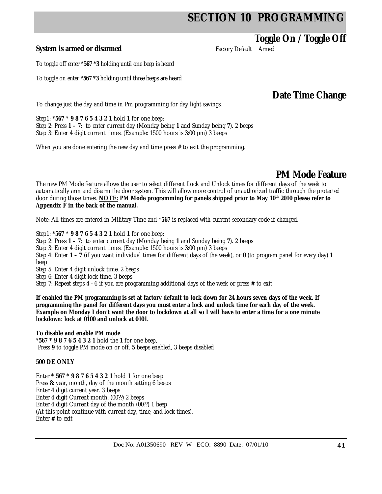### **Toggle On / Toggle Off**

**System is armed or disarmed Factory Default Armed** 

To toggle off enter **\*567 \*3** holding until one beep is heard

To toggle on enter **\*567 \*3** holding until three beeps are heard

**Date Time Change** 

To change just the day and time in Pm programming for day light savings.

Step1: **\*567 \* 9 8 7 6 5 4 3 2 1** hold **1** for one beep: Step 2: Press **1 – 7**: to enter current day (Monday being **1** and Sunday being **7**). 2 beeps Step 3: Enter 4 digit current times. (Example: 1500 hours is 3:00 pm) 3 beeps

When you are done entering the new day and time press # to exit the programming.

### **PM Mode Feature**

The new PM Mode feature allows the user to select different Lock and Unlock times for different days of the week to automatically arm and disarm the door system. This will allow more control of unauthorized traffic through the protected door during those times. **NOTE: PM Mode programming for panels shipped prior to May 10th 2010 please refer to Appendix F in the back of the manual.**

Note: All times are entered in Military Time and **\*567** is replaced with current secondary code if changed.

Step1: **\*567 \* 9 8 7 6 5 4 3 2 1** hold **1** for one beep:

Step 2: Press **1 – 7**: to enter current day (Monday being **1** and Sunday being **7**). 2 beeps

Step 3: Enter 4 digit current times. (Example: 1500 hours is 3:00 pm) 3 beeps

Step 4: Enter **1 – 7** (if you want individual times for different days of the week), or **0** (to program panel for every day) 1 beep

Step 5: Enter 4 digit unlock time. 2 beeps

Step 6: Enter 4 digit lock time. 3 beeps

Step 7: Repeat steps 4 - 6 if you are programming additional days of the week or press **#** to exit

**If enabled the PM programming is set at factory default to lock down for 24 hours seven days of the week. If programming the panel for different days you must enter a lock and unlock time for each day of the week. Example on Monday I don't want the door to lockdown at all so I will have to enter a time for a one minute lockdown: lock at 0100 and unlock at 0101.** 

**To disable and enable PM mode \*567 \* 9 8 7 6 5 4 3 2 1** hold the **1** for one beep, Press **9** to toggle PM mode on or off. 5 beeps enabled, 3 beeps disabled

### **500 DE ONLY**

Enter **\* 567 \* 9 8 7 6 5 4 3 2 1** hold **1** for one beep Press **8**: year, month, day of the month setting 6 beeps Enter 4 digit current year. 3 beeps Enter 4 digit Current month. (00??) 2 beeps Enter 4 digit Current day of the month (00??) 1 beep (At this point continue with current day, time, and lock times). Enter **#** to exit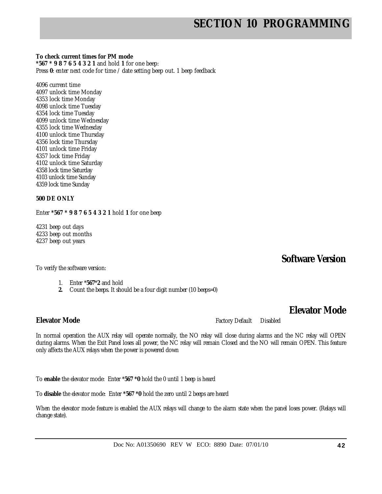**To check current times for PM mode** 

**\*567 \* 9 8 7 6 5 4 3 2 1** and hold **1** for one beep: Press **0**: enter next code for time / date setting beep out. 1 beep feedback

4096 current time 4097 unlock time Monday 4353 lock time Monday 4098 unlock time Tuesday 4354 lock time Tuesday 4099 unlock time Wednesday 4355 lock time Wednesday 4100 unlock time Thursday 4356 lock time Thursday 4101 unlock time Friday 4357 lock time Friday 4102 unlock time Saturday 4358 lock time Saturday 4103 unlock time Sunday 4359 lock time Sunday

### **500 DE ONLY**

Enter **\*567 \* 9 8 7 6 5 4 3 2 1** hold **1** for one beep

4231 beep out days 4233 beep out months 4237 beep out years

**Software Version** 

To verify the software version:

- 1. Enter \***567**\***2** and hold
- **2.** Count the beeps. It should be a four digit number (10 beeps=0)

**Elevator Mode** 

**Elevator Mode Factory Default** Disabled

In normal operation the AUX relay will operate normally, the NO relay will close during alarms and the NC relay will OPEN during alarms. When the Exit Panel loses all power, the NC relay will remain Closed and the NO will remain OPEN. This feature only affects the AUX relays when the power is powered down

To **enable** the elevator mode: Enter \***567 \*0** hold the 0 until 1 beep is heard

To **disable** the elevator mode: Enter **\*567 \*0** hold the zero until 2 beeps are heard

When the elevator mode feature is enabled the AUX relays will change to the alarm state when the panel loses power. (Relays will change state).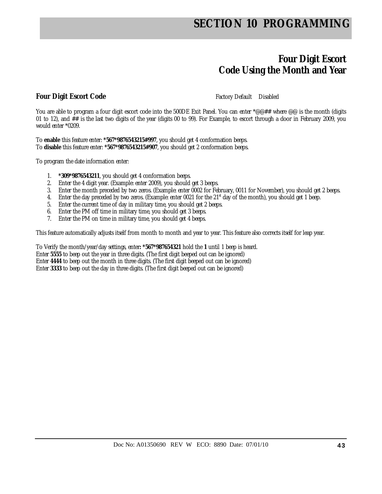### **Four Digit Escort Code Using the Month and Year**

### **Four Digit Escort Code Factory Default** Disabled

You are able to program a four digit escort code into the 500DE Exit Panel. You can enter \*@@## where @@ is the month (digits 01 to 12), and ## is the last two digits of the year (digits 00 to 99). For Example, to escort through a door in February 2009, you would enter \*0209.

To **enable** this feature enter: **\*567\*9876543215#997**, you should get 4 conformation beeps. To **disable** this feature enter: **\*567\*9876543215#907**, you should get 2 conformation beeps.

To program the date information enter:

- 1. **\*309\*9876543211**, you should get 4 conformation beeps.
- 2. Enter the 4 digit year. (Example: enter 2009), you should get 3 beeps.
- 3. Enter the month preceded by two zeros. (Example: enter 0002 for February, 0011 for November), you should get 2 beeps.
- 4. Enter the day preceded by two zeros. (Example: enter 0021 for the 21<sup>st</sup> day of the month), you should get 1 beep.
- 5. Enter the current time of day in military time, you should get 2 beeps.
- 6. Enter the PM off time in military time, you should get 3 beeps.
- 7. Enter the PM on time in military time, you should get 4 beeps.

This feature automatically adjusts itself from month to month and year to year. This feature also corrects itself for leap year.

To Verify the month/year/day settings, enter**: \*567\*987654321** hold the **1** until 1 beep is heard. Enter **5555** to beep out the year in three digits. (The first digit beeped out can be ignored) Enter **4444** to beep out the month in three digits. (The first digit beeped out can be ignored) Enter **3333** to beep out the day in three digits. (The first digit beeped out can be ignored)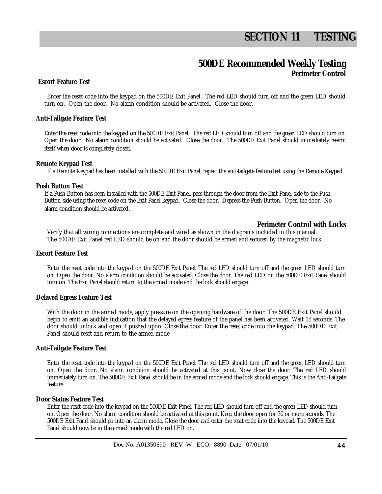# **SECTION 11 TESTING**

### **500DE Recommended Weekly Testing Perimeter Control**

### **Escort Feature Test**

Enter the reset code into the keypad on the 500DE Exit Panel. The red LED should turn off and the green LED should turn on. Open the door. No alarm condition should be activated. Close the door.

#### **Anti-Tailgate Feature Test**

Enter the reset code into the keypad on the 500DE Exit Panel. The red LED should turn off and the green LED should turn on. Open the door. No alarm condition should be activated. Close the door. The 500DE Exit Panel should immediately re-arm itself when door is completely closed.

#### **Remote Keypad Test**

If a Remote Keypad has been installed with the 500DE Exit Panel, repeat the anti-tailgate feature test using the Remote Keypad.

#### **Push Button Test**

If a Push Button has been installed with the 500DE Exit Panel, pass through the door from the Exit Panel side to the Push Button side using the reset code on the Exit Panel keypad. Close the door. Depress the Push Button. Open the door. No alarm condition should be activated.

### **Perimeter Control with Locks**

Verify that all wiring connections are complete and wired as shown in the diagrams included in this manual. The 500DE Exit Panel red LED should be on and the door should be armed and secured by the magnetic lock.

#### **Escort Feature Test**

Enter the reset code into the keypad on the 500DE Exit Panel. The red LED should turn off and the green LED should turn on. Open the door. No alarm condition should be activated. Close the door. The red LED on the 500DE Exit Panel should turn on. The Exit Panel should return to the armed mode and the lock should engage.

#### **Delayed Egress Feature Test**

With the door in the armed mode, apply pressure on the opening hardware of the door. The 500DE Exit Panel should begin to emit an audible indication that the delayed egress feature of the panel has been activated. Wait 15 seconds. The door should unlock and open if pushed upon. Close the door. Enter the reset code into the keypad. The 500DE Exit Panel should reset and return to the armed mode

### **Anti-Tailgate Feature Test**

Enter the reset code into the keypad on the 500DE Exit Panel. The red LED should turn off and the green LED should turn on. Open the door. No alarm condition should be activated at this point. Now close the door. The red LED should immediately turn on. The 500DE Exit Panel should be in the armed mode and the lock should engage. This is the Anti-Tailgate feature

#### **Door Status Feature Test**

Enter the reset code into the keypad on the 500DE Exit Panel. The red LED should turn off and the green LED should turn on. Open the door. No alarm condition should be activated at this point. Keep the door open for 30 or more seconds. The 500DE Exit Panel should go into an alarm mode. Close the door and enter the reset code into the keypad. The 500DE Exit Panel should now be in the armed mode with the red LED on.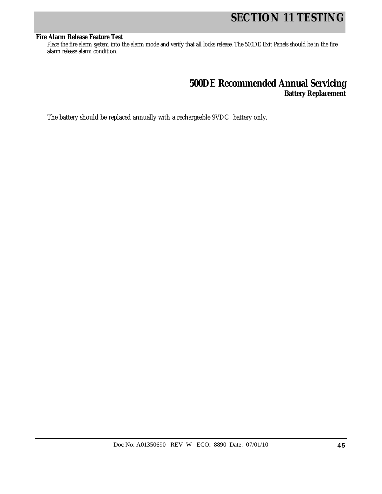# **SECTION 11 TESTING**

### **Fire Alarm Release Feature Test**

Place the fire alarm system into the alarm mode and verify that all locks release. The 500DE Exit Panels should be in the fire alarm release alarm condition.

### **500DE Recommended Annual Servicing Battery Replacement**

The battery should be replaced annually with a rechargeable 9VDC battery only.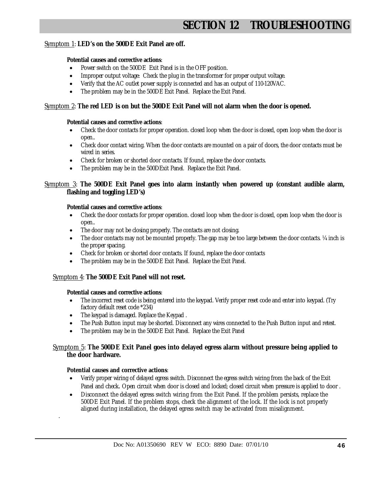# **SECTION 12 TROUBLESHOOTIN**

### Symptom 1: **LED's on the 500DE Exit Panel are off.**

### **Potential causes and corrective actions**:

- Power switch on the 500DE Exit Panel is in the OFF position.
- Improper output voltage: Check the plug in the transformer for proper output voltage.
- Verify that the AC outlet power supply is connected and has an output of 110-120VAC.
- The problem may be in the 500DE Exit Panel. Replace the Exit Panel.

### Symptom 2: **The red LED is on but the 500DE Exit Panel will not alarm when the door is opened.**

### **Potential causes and corrective actions**:

- Check the door contacts for proper operation. closed loop when the door is closed, open loop when the door is open..
- Check door contact wiring. When the door contacts are mounted on a pair of doors, the door contacts must be wired in series.
- Check for broken or shorted door contacts. If found, replace the door contacts.
- The problem may be in the 500DExit Panel. Replace the Exit Panel.

### Symptom 3: **The 500DE Exit Panel goes into alarm instantly when powered up (constant audible alarm, flashing and toggling LED's)**

### **Potential causes and corrective actions**:

- Check the door contacts for proper operation. closed loop when the door is closed, open loop when the door is open..
- The door may not be closing properly. The contacts are not closing.
- The door contacts may not be mounted properly. The gap may be too large between the door contacts.  $\frac{1}{4}$  inch is the proper spacing.
- Check for broken or shorted door contacts. If found, replace the door contacts
- The problem may be in the 500DE Exit Panel. Replace the Exit Panel.

### Symptom 4: **The 500DE Exit Panel will not reset.**

#### **Potential causes and corrective actions**:

- The incorrect reset code is being entered into the keypad. Verify proper reset code and enter into keypad. (Try factory default reset code \*234)
- The keypad is damaged. Replace the Keypad .
- The Push Button input may be shorted. Disconnect any wires connected to the Push Button input and retest.
- The problem may be in the 500DE Exit Panel. Replace the Exit Panel

### Symptom 5: **The 500DE Exit Panel goes into delayed egress alarm without pressure being applied to the door hardware.**

#### **Potential causes and corrective actions**:

.

- Verify proper wiring of delayed egress switch. Disconnect the egress switch wiring from the back of the Exit Panel and check. Open circuit when door is closed and locked; closed circuit when pressure is applied to door .
- Disconnect the delayed egress switch wiring from the Exit Panel. If the problem persists, replace the 500DE Exit Panel. If the problem stops, check the alignment of the lock. If the lock is not properly aligned during installation, the delayed egress switch may be activated from misalignment.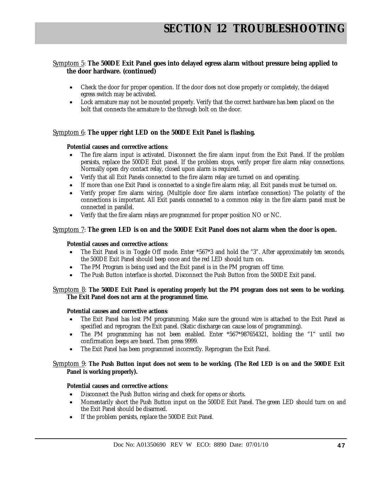### Symptom 5: **The 500DE Exit Panel goes into delayed egress alarm without pressure being applied to the door hardware. (continued)**

- Check the door for proper operation. If the door does not close properly or completely, the delayed egress switch may be activated.
- Lock armature may not be mounted properly. Verify that the correct hardware has been placed on the bolt that connects the armature to the through bolt on the door.

### Symptom 6: **The upper right LED on the 500DE Exit Panel is flashing.**

### **Potential causes and corrective actions**:

- The fire alarm input is activated. Disconnect the fire alarm input from the Exit Panel. If the problem persists, replace the 500DE Exit panel. If the problem stops, verify proper fire alarm relay connections. Normally open dry contact relay, closed upon alarm is required.
- Verify that all Exit Panels connected to the fire alarm relay are turned on and operating.
- If more than one Exit Panel is connected to a single fire alarm relay, all Exit panels must be turned on.
- Verify proper fire alarm wiring. (Multiple door fire alarm interface connection) The polarity of the connections is important. All Exit panels connected to a common relay in the fire alarm panel must be connected in parallel.
- Verify that the fire alarm relays are programmed for proper position NO or NC.

### Symptom 7: **The green LED is on and the 500DE Exit Panel does not alarm when the door is open.**

### **Potential causes and corrective actions**:

- The Exit Panel is in Toggle Off mode. Enter \*567\*3 and hold the "3". After approximately ten seconds, the 500DE Exit Panel should beep once and the red LED should turn on.
- The PM Program is being used and the Exit panel is in the PM program off time.
- The Push Button interface is shorted. Disconnect the Push Button from the 500DE Exit panel.

### Symptom 8: **The 500DE Exit Panel is operating properly but the PM program does not seem to be working. The Exit Panel does not arm at the programmed time.**

### **Potential causes and corrective actions**:

- The Exit Panel has lost PM programming. Make sure the ground wire is attached to the Exit Panel as specified and reprogram the Exit panel. (Static discharge can cause loss of programming).
- The PM programming has not been enabled. Enter \*567\*987654321, holding the "1" until two confirmation beeps are heard. Then press 9999.
- The Exit Panel has been programmed incorrectly. Reprogram the Exit Panel.

### Symptom 9: **The Push Button input does not seem to be working. (The Red LED is on and the 500DE Exit Panel is working properly).**

### **Potential causes and corrective actions**:

- Disconnect the Push Button wiring and check for opens or shorts.
- Momentarily short the Push Button input on the 500DE Exit Panel. The green LED should turn on and the Exit Panel should be disarmed.
- If the problem persists, replace the 500DE Exit Panel.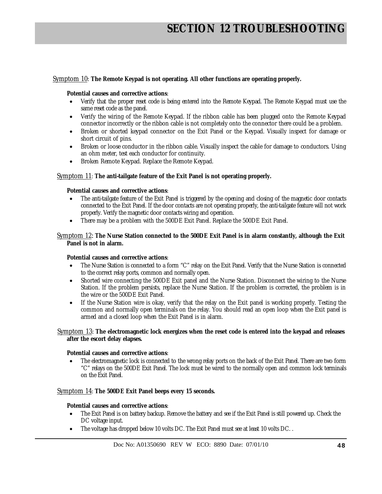### Symptom 10: **The Remote Keypad is not operating. All other functions are operating properly.**

#### **Potential causes and corrective actions**:

- Verify that the proper reset code is being entered into the Remote Keypad. The Remote Keypad must use the same reset code as the panel.
- Verify the wiring of the Remote Keypad. If the ribbon cable has been plugged onto the Remote Keypad connector incorrectly or the ribbon cable is not completely onto the connector there could be a problem.
- Broken or shorted keypad connector on the Exit Panel or the Keypad. Visually inspect for damage or short circuit of pins.
- Broken or loose conductor in the ribbon cable. Visually inspect the cable for damage to conductors. Using an ohm meter, test each conductor for continuity.
- Broken Remote Keypad. Replace the Remote Keypad.

### Symptom 11: **The anti-tailgate feature of the Exit Panel is not operating properly.**

#### **Potential causes and corrective actions**:

- The anti-tailgate feature of the Exit Panel is triggered by the opening and closing of the magnetic door contacts connected to the Exit Panel. If the door contacts are not operating properly, the anti-tailgate feature will not work properly. Verify the magnetic door contacts wiring and operation.
- There may be a problem with the 500DE Exit Panel. Replace the 500DE Exit Panel.

#### Symptom 12: **The Nurse Station connected to the 500DE Exit Panel is in alarm constantly, although the Exit Panel is not in alarm.**

### **Potential causes and corrective actions**:

- The Nurse Station is connected to a form "C" relay on the Exit Panel. Verify that the Nurse Station is connected to the correct relay ports, common and normally open.
- Shorted wire connecting the 500DE Exit panel and the Nurse Station. Disconnect the wiring to the Nurse Station. If the problem persists, replace the Nurse Station. If the problem is corrected, the problem is in the wire or the 500DE Exit Panel.
- If the Nurse Station wire is okay, verify that the relay on the Exit panel is working properly. Testing the common and normally open terminals on the relay. You should read an open loop when the Exit panel is armed and a closed loop when the Exit Panel is in alarm.

### Symptom 13: **The electromagnetic lock energizes when the reset code is entered into the keypad and releases after the escort delay elapses.**

#### **Potential causes and corrective actions**:

• The electromagnetic lock is connected to the wrong relay ports on the back of the Exit Panel. There are two form "C" relays on the 500DE Exit Panel. The lock must be wired to the normally open and common lock terminals on the Exit Panel.

#### Symptom 14: **The 500DE Exit Panel beeps every 15 seconds.**

#### **Potential causes and corrective actions**:

- The Exit Panel is on battery backup. Remove the battery and see if the Exit Panel is still powered up. Check the DC voltage input.
- The voltage has dropped below 10 volts DC. The Exit Panel must see at least 10 volts DC..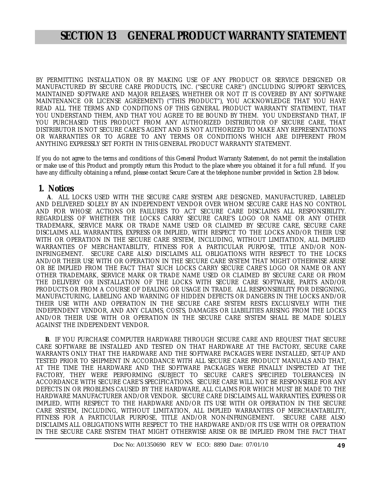## **SECTION 13 GENERAL PRODUCT WARRANTY STATEMENT**

BY PERMITTING INSTALLATION OR BY MAKING USE OF ANY PRODUCT OR SERVICE DESIGNED OR MANUFACTURED BY SECURE CARE PRODUCTS, INC. ("SECURE CARE") (INCLUDING SUPPORT SERVICES, MAINTAINED SOFTWARE AND MAJOR RELEASES, WHETHER OR NOT IT IS COVERED BY ANY SOFTWARE MAINTENANCE OR LICENSE AGREEMENT) ("THIS PRODUCT"), YOU ACKNOWLEDGE THAT YOU HAVE READ ALL THE TERMS AND CONDITIONS OF THIS GENERAL PRODUCT WARRANTY STATEMENT, THAT YOU UNDERSTAND THEM, AND THAT YOU AGREE TO BE BOUND BY THEM. YOU UNDERSTAND THAT, IF YOU PURCHASED THIS PRODUCT FROM ANY AUTHORIZED DISTRIBUTOR OF SECURE CARE, THAT DISTRIBUTOR IS NOT SECURE CARE'S AGENT AND IS NOT AUTHORIZED TO MAKE ANY REPRESENTATIONS OR WARRANTIES OR TO AGREE TO ANY TERMS OR CONDITIONS WHICH ARE DIFFERENT FROM ANYTHING EXPRESSLY SET FORTH IN THIS GENERAL PRODUCT WARRANTY STATEMENT.

If you do not agree to the terms and conditions of this General Product Warranty Statement, do not permit the installation or make use of this Product and promptly return this Product to the place where you obtained it for a full refund. If you have any difficulty obtaining a refund, please contact Secure Care at the telephone number provided in Section 2.B below.

### **1. Notices**

 **A**. ALL LOCKS USED WITH THE SECURE CARE SYSTEM ARE DESIGNED, MANUFACTURED, LABELED AND DELIVERED SOLELY BY AN INDEPENDENT VENDOR OVER WHOM SECURE CARE HAS NO CONTROL AND FOR WHOSE ACTIONS OR FAILURES TO ACT SECURE CARE DISCLAIMS ALL RESPONSIBILITY. REGARDLESS OF WHETHER THE LOCKS CARRY SECURE CARE'S LOGO OR NAME OR ANY OTHER TRADEMARK, SERVICE MARK OR TRADE NAME USED OR CLAIMED BY SECURE CARE, SECURE CARE DISCLAIMS ALL WARRANTIES, EXPRESS OR IMPLIED, WITH RESPECT TO THE LOCKS AND/OR THEIR USE WITH OR OPERATION IN THE SECURE CARE SYSTEM, INCLUDING, WITHOUT LIMITATION, ALL IMPLIED WARRANTIES OF MERCHANTABILITY, FITNESS FOR A PARTICULAR PURPOSE, TITLE AND/OR NON-<br>INFRINGEMENT. SECURE CARE ALSO DISCLAIMS ALL OBLIGATIONS WITH RESPECT TO THE LOCKS SECURE CARE ALSO DISCLAIMS ALL OBLIGATIONS WITH RESPECT TO THE LOCKS AND/OR THEIR USE WITH OR OPERATION IN THE SECURE CARE SYSTEM THAT MIGHT OTHERWISE ARISE OR BE IMPLIED FROM THE FACT THAT SUCH LOCKS CARRY SECURE CARE'S LOGO OR NAME OR ANY OTHER TRADEMARK, SERVICE MARK OR TRADE NAME USED OR CLAIMED BY SECURE CARE OR FROM THE DELIVERY OR INSTALLATION OF THE LOCKS WITH SECURE CARE SOFTWARE, PARTS AND/OR PRODUCTS OR FROM A COURSE OF DEALING OR USAGE IN TRADE. ALL RESPONSIBILITY FOR DESIGNING, MANUFACTURING, LABELING AND WARNING OF HIDDEN DEFECTS OR DANGERS IN THE LOCKS AND/OR THEIR USE WITH AND OPERATION IN THE SECURE CARE SYSTEM RESTS EXCLUSIVELY WITH THE INDEPENDENT VENDOR, AND ANY CLAIMS, COSTS, DAMAGES OR LIABILITIES ARISING FROM THE LOCKS AND/OR THEIR USE WITH OR OPERATION IN THE SECURE CARE SYSTEM SHALL BE MADE SOLELY AGAINST THE INDEPENDENT VENDOR.

 **B**. IF YOU PURCHASE COMPUTER HARDWARE THROUGH SECURE CARE AND REQUEST THAT SECURE CARE SOFTWARE BE INSTALLED AND TESTED ON THAT HARDWARE AT THE FACTORY, SECURE CARE WARRANTS ONLY THAT THE HARDWARE AND THE SOFTWARE PACKAGES WERE INSTALLED, SET-UP AND TESTED PRIOR TO SHIPMENT IN ACCORDANCE WITH ALL SECURE CARE PRODUCT MANUALS AND THAT, AT THE TIME THE HARDWARE AND THE SOFTWARE PACKAGES WERE FINALLY INSPECTED AT THE FACTORY, THEY WERE PERFORMING (SUBJECT TO SECURE CARE'S SPECIFIED TOLERANCES) IN ACCORDANCE WITH SECURE CARE'S SPECIFICATIONS. SECURE CARE WILL NOT BE RESPONSIBLE FOR ANY DEFECTS IN OR PROBLEMS CAUSED BY THE HARDWARE, ALL CLAIMS FOR WHICH MUST BE MADE TO THE HARDWARE MANUFACTURER AND/OR VENDOR. SECURE CARE DISCLAIMS ALL WARRANTIES, EXPRESS OR IMPLIED, WITH RESPECT TO THE HARDWARE AND/OR ITS USE WITH OR OPERATION IN THE SECURE CARE SYSTEM, INCLUDING, WITHOUT LIMITATION, ALL IMPLIED WARRANTIES OF MERCHANTABILITY, FITNESS FOR A PARTICULAR PURPOSE, TITLE AND/OR NON-INFRINGEMENT. SECURE CARE ALSO DISCLAIMS ALL OBLIGATIONS WITH RESPECT TO THE HARDWARE AND/OR ITS USE WITH OR OPERATION IN THE SECURE CARE SYSTEM THAT MIGHT OTHERWISE ARISE OR BE IMPLIED FROM THE FACT THAT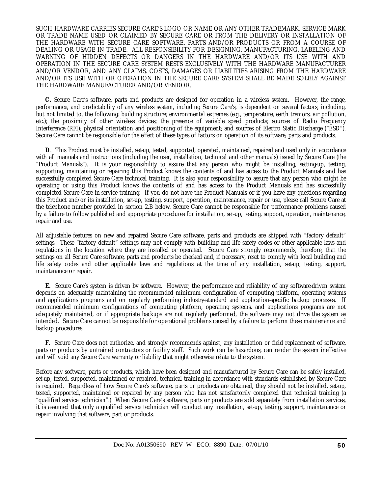SUCH HARDWARE CARRIES SECURE CARE'S LOGO OR NAME OR ANY OTHER TRADEMARK, SERVICE MARK OR TRADE NAME USED OR CLAIMED BY SECURE CARE OR FROM THE DELIVERY OR INSTALLATION OF THE HARDWARE WITH SECURE CARE SOFTWARE, PARTS AND/OR PRODUCTS OR FROM A COURSE OF DEALING OR USAGE IN TRADE. ALL RESPONSIBILITY FOR DESIGNING, MANUFACTURING, LABELING AND WARNING OF HIDDEN DEFECTS OR DANGERS IN THE HARDWARE AND/OR ITS USE WITH AND OPERATION IN THE SECURE CARE SYSTEM RESTS EXCLUSIVELY WITH THE HARDWARE MANUFACTURER AND/OR VENDOR, AND ANY CLAIMS, COSTS, DAMAGES OR LIABILITIES ARISING FROM THE HARDWARE AND/OR ITS USE WITH OR OPERATION IN THE SECURE CARE SYSTEM SHALL BE MADE SOLELY AGAINST THE HARDWARE MANUFACTURER AND/OR VENDOR.

 **C.** Secure Care's software, parts and products are designed for operation in a wireless system. However, the range, performance, and predictability of any wireless system, including Secure Care's, is dependent on several factors, including, but not limited to, the following: building structure; environmental extremes (e.g., temperature, earth tremors, air pollution, etc.); the proximity of other wireless devices; the presence of variable speed products; sources of Radio Frequency Interference (RFI); physical orientation and positioning of the equipment; and sources of Electro Static Discharge ("ESD"). Secure Care cannot be responsible for the effect of these types of factors on operation of its software, parts and products.

 **D**. This Product must be installed, set-up, tested, supported, operated, maintained, repaired and used only in accordance with all manuals and instructions (including the user, installation, technical and other manuals) issued by Secure Care (the "Product Manuals"). It is your responsibility to assure that any person who might be installing, setting-up, testing, supporting, maintaining or repairing this Product knows the contents of and has access to the Product Manuals and has successfully completed Secure Care technical training. It is also your responsibility to assure that any person who might be operating or using this Product knows the contents of and has access to the Product Manuals and has successfully completed Secure Care in-service training. If you do not have the Product Manuals or if you have any questions regarding this Product and/or its installation, set-up, testing, support, operation, maintenance, repair or use, please call Secure Care at the telephone number provided in section 2.B below. Secure Care cannot be responsible for performance problems caused by a failure to follow published and appropriate procedures for installation, set-up, testing, support, operation, maintenance, repair and use.

All adjustable features on new and repaired Secure Care software, parts and products are shipped with "factory default" settings. These "factory default" settings may not comply with building and life safety codes or other applicable laws and regulations in the location where they are installed or operated. Secure Care strongly recommends, therefore, that the settings on all Secure Care software, parts and products be checked and, if necessary, reset to comply with local building and life safety codes and other applicable laws and regulations at the time of any installation, set-up, testing, support, maintenance or repair.

 **E.** Secure Care's system is driven by software. However, the performance and reliability of any software-driven system depends on adequately maintaining the recommended minimum configuration of computing platform, operating systems and applications programs and on regularly performing industry-standard and application-specific backup processes. If recommended minimum configurations of computing platform, operating systems, and applications programs are not adequately maintained, or if appropriate backups are not regularly performed, the software may not drive the system as intended. Secure Care cannot be responsible for operational problems caused by a failure to perform these maintenance and backup procedures.

 **F**. Secure Care does not authorize, and strongly recommends against, any installation or field replacement of software, parts or products by untrained contractors or facility staff. Such work can be hazardous, can render the system ineffective and will void any Secure Care warranty or liability that might otherwise relate to the system.

Before any software, parts or products, which have been designed and manufactured by Secure Care can be safely installed, set-up, tested, supported, maintained or repaired, technical training in accordance with standards established by Secure Care is required. Regardless of how Secure Care's software, parts or products are obtained, they should not be installed, set-up, tested, supported, maintained or repaired by any person who has not satisfactorily completed that technical training (a "qualified service technician".) When Secure Care's software, parts or products are sold separately from installation services, it is assumed that only a qualified service technician will conduct any installation, set-up, testing, support, maintenance or repair involving that software, part or products.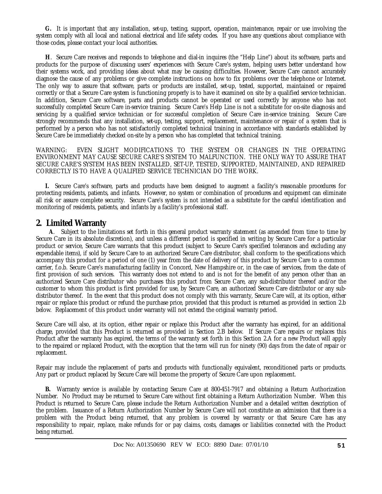**G.** It is important that any installation, set-up, testing, support, operation, maintenance, repair or use involving the system comply with all local and national electrical and life safety codes. If you have any questions about compliance with those codes, please contact your local authorities.

 **H**. Secure Care receives and responds to telephone and dial-in inquires (the "Help Line") about its software, parts and products for the purpose of discussing users' experiences with Secure Care's system, helping users better understand how their systems work, and providing ideas about what may be causing difficulties. However, Secure Care cannot accurately diagnose the cause of any problems or give complete instructions on how to fix problems over the telephone or Internet. The only way to assure that software, parts or products are installed, set-up, tested, supported, maintained or repaired correctly or that a Secure Care system is functioning properly is to have it examined on site by a qualified service technician. In addition, Secure Care software, parts and products cannot be operated or used correctly by anyone who has not successfully completed Secure Care in-service training. Secure Care's Help Line is not a substitute for on-site diagnosis and servicing by a qualified service technician or for successful completion of Secure Care in-service training. Secure Care strongly recommends that any installation, set-up, testing, support, replacement, maintenance or repair of a system that is performed by a person who has not satisfactorily completed technical training in accordance with standards established by Secure Care be immediately checked on-site by a person who has completed that technical training.

WARNING: EVEN SLIGHT MODIFICATIONS TO THE SYSTEM OR CHANGES IN THE OPERATING ENVIRONMENT MAY CAUSE SECURE CARE'S SYSTEM TO MALFUNCTION. THE ONLY WAY TO ASSURE THAT SECURE CARE'S SYSTEM HAS BEEN INSTALLED, SET-UP, TESTED, SUPPORTED, MAINTAINED, AND REPAIRED CORRECTLY IS TO HAVE A QUALIFIED SERVICE TECHNICIAN DO THE WORK.

 **I.** Secure Care's software, parts and products have been designed to augment a facility's reasonable procedures for protecting residents, patients, and infants. However, no system or combination of procedures and equipment can eliminate all risk or assure complete security. Secure Care's system is not intended as a substitute for the careful identification and monitoring of residents, patients, and infants by a facility's professional staff.

### **2. Limited Warranty**

 **A**. Subject to the limitations set forth in this general product warranty statement (as amended from time to time by Secure Care in its absolute discretion), and unless a different period is specified in writing by Secure Care for a particular product or service, Secure Care warrants that this product (subject to Secure Care's specified tolerances and excluding any expendable items), if sold by Secure Care to an authorized Secure Care distributor, shall conform to the specifications which accompany this product for a period of one (1) year from the date of delivery of this product by Secure Care to a common carrier, f.o.b. Secure Care's manufacturing facility in Concord, New Hampshire or, in the case of services, from the date of first provision of such services. This warranty does not extend to and is not for the benefit of any person other than an authorized Secure Care distributor who purchases this product from Secure Care, any sub-distributor thereof and/or the customer to whom this product is first provided for use, by Secure Care, an authorized Secure Care distributor or any subdistributor thereof. In the event that this product does not comply with this warranty, Secure Care will, at its option, either repair or replace this product or refund the purchase price, provided that this product is returned as provided in section 2.b below. Replacement of this product under warranty will not extend the original warranty period.

Secure Care will also, at its option, either repair or replace this Product after the warranty has expired, for an additional charge, provided that this Product is returned as provided in Section 2.B below. If Secure Care repairs or replaces this Product after the warranty has expired, the terms of the warranty set forth in this Section 2.A for a new Product will apply to the repaired or replaced Product, with the exception that the term will run for ninety (90) days from the date of repair or replacement.

Repair may include the replacement of parts and products with functionally equivalent, reconditioned parts or products. Any part or product replaced by Secure Care will become the property of Secure Care upon replacement.

 **B.** Warranty service is available by contacting Secure Care at 800-451-7917 and obtaining a Return Authorization Number. No Product may be returned to Secure Care without first obtaining a Return Authorization Number. When this Product is returned to Secure Care, please include the Return Authorization Number and a detailed written description of the problem. Issuance of a Return Authorization Number by Secure Care will not constitute an admission that there is a problem with the Product being returned, that any problem is covered by warranty or that Secure Care has any responsibility to repair, replace, make refunds for or pay claims, costs, damages or liabilities connected with the Product being returned.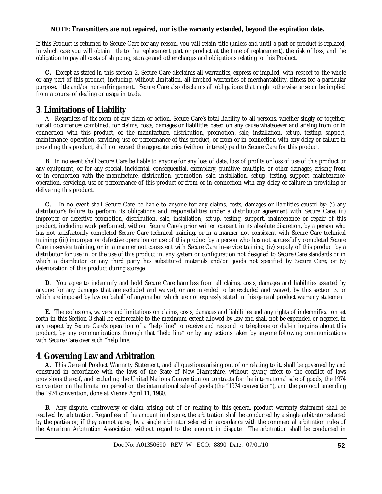### **NOTE: Transmitters are not repaired, nor is the warranty extended, beyond the expiration date.**

If this Product is returned to Secure Care for any reason, you will retain title (unless and until a part or product is replaced, in which case you will obtain title to the replacement part or product at the time of replacement), the risk of loss, and the obligation to pay all costs of shipping, storage and other charges and obligations relating to this Product.

 **C.** Except as stated in this section 2, Secure Care disclaims all warranties, express or implied, with respect to the whole or any part of this product, including, without limitation, all implied warranties of merchantability, fitness for a particular purpose, title and/or non-infringement. Secure Care also disclaims all obligations that might otherwise arise or be implied from a course of dealing or usage in trade.

### **3. Limitations of Liability**

 A. Regardless of the form of any claim or action, Secure Care's total liability to all persons, whether singly or together, for all occurrences combined, for claims, costs, damages or liabilities based on any cause whatsoever and arising from or in connection with this product, or the manufacture, distribution, promotion, sale, installation, set-up, testing, support, maintenance, operation, servicing, use or performance of this product, or from or in connection with any delay or failure in providing this product, shall not exceed the aggregate price (without interest) paid to Secure Care for this product.

 **B**. In no event shall Secure Care be liable to anyone for any loss of data, loss of profits or loss of use of this product or any equipment, or for any special, incidental, consequential, exemplary, punitive, multiple, or other damages, arising from or in connection with the manufacture, distribution, promotion, sale, installation, set-up, testing, support, maintenance, operation, servicing, use or performance of this product or from or in connection with any delay or failure in providing or delivering this product.

 **C.** In no event shall Secure Care be liable to anyone for any claims, costs, damages or liabilities caused by: (i) any distributor's failure to perform its obligations and responsibilities under a distributor agreement with Secure Care; (ii) improper or defective promotion, distribution, sale, installation, set-up, testing, support, maintenance or repair of this product, including work performed, without Secure Care's prior written consent in its absolute discretion, by a person who has not satisfactorily completed Secure Care technical training, or in a manner not consistent with Secure Care technical training; (iii) improper or defective operation or use of this product by a person who has not successfully completed Secure Care in-service training, or in a manner not consistent with Secure Care in-service training; (iv) supply of this product by a distributor for use in, or the use of this product in, any system or configuration not designed to Secure Care standards or in which a distributor or any third party has substituted materials and/or goods not specified by Secure Care; or (v) deterioration of this product during storage.

 **D**. You agree to indemnify and hold Secure Care harmless from all claims, costs, damages and liabilities asserted by anyone for any damages that are excluded and waived, or are intended to be excluded and waived, by this section 3, or which are imposed by law on behalf of anyone but which are not expressly stated in this general product warranty statement.

 **E.** The exclusions, waivers and limitations on claims, costs, damages and liabilities and any rights of indemnification set forth in this Section 3 shall be enforceable to the maximum extent allowed by law and shall not be expanded or negated in any respect by Secure Care's operation of a "help line" to receive and respond to telephone or dial-in inquires about this product, by any communications through that "help line" or by any actions taken by anyone following communications with Secure Care over such "help line."

### **4. Governing Law and Arbitration**

 **A.** This General Product Warranty Statement, and all questions arising out of or relating to it, shall be governed by and construed in accordance with the laws of the State of New Hampshire, without giving effect to the conflict of laws provisions thereof, and excluding the United Nations Convention on contracts for the international sale of goods, the 1974 convention on the limitation period on the international sale of goods (the "1974 convention"), and the protocol amending the 1974 convention, done at Vienna April 11, 1980.

 **B.** Any dispute, controversy or claim arising out of or relating to this general product warranty statement shall be resolved by arbitration. Regardless of the amount in dispute, the arbitration shall be conducted by a single arbitrator selected by the parties or, if they cannot agree, by a single arbitrator selected in accordance with the commercial arbitration rules of the American Arbitration Association without regard to the amount in dispute. The arbitration shall be conducted in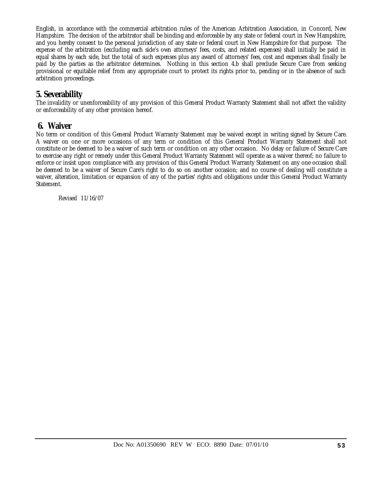English, in accordance with the commercial arbitration rules of the American Arbitration Association, in Concord, New Hampshire. The decision of the arbitrator shall be binding and enforceable by any state or federal court in New Hampshire, and you hereby consent to the personal jurisdiction of any state or federal court in New Hampshire for that purpose. The expense of the arbitration (excluding each side's own attorneys' fees, costs, and related expenses) shall initially be paid in equal shares by each side, but the total of such expenses plus any award of attorneys' fees, cost and expenses shall finally be paid by the parties as the arbitrator determines. Nothing in this section 4.b shall preclude Secure Care from seeking provisional or equitable relief from any appropriate court to protect its rights prior to, pending or in the absence of such arbitration proceedings.

### **5. Severability**

The invalidity or unenforceability of any provision of this General Product Warranty Statement shall not affect the validity or enforceability of any other provision hereof.

### **6. Waiver**

No term or condition of this General Product Warranty Statement may be waived except in writing signed by Secure Care. A waiver on one or more occasions of any term or condition of this General Product Warranty Statement shall not constitute or be deemed to be a waiver of such term or condition on any other occasion. No delay or failure of Secure Care to exercise any right or remedy under this General Product Warranty Statement will operate as a waiver thereof; no failure to enforce or insist upon compliance with any provision of this General Product Warranty Statement on any one occasion shall be deemed to be a waiver of Secure Care's right to do so on another occasion; and no course of dealing will constitute a waiver, alteration, limitation or expansion of any of the parties' rights and obligations under this General Product Warranty Statement.

Revised 11/16/07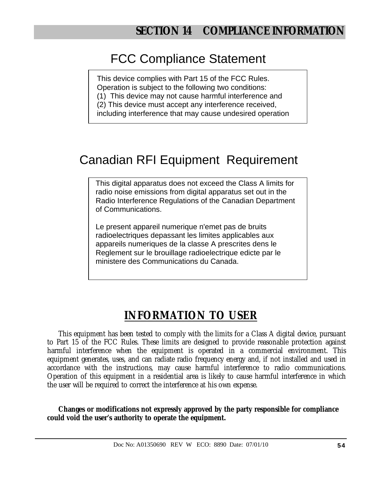# FCC Compliance Statement

This device complies with Part 15 of the FCC Rules. Operation is subject to the following two conditions:

(1) This device may not cause harmful interference and

(2) This device must accept any interference received,

including interference that may cause undesired operation

# Canadian RFI Equipment Requirement

This digital apparatus does not exceed the Class A limits for radio noise emissions from digital apparatus set out in the Radio Interference Regulations of the Canadian Department of Communications.

Le present appareil numerique n'emet pas de bruits radioelectriques depassant les limites applicables aux appareils numeriques de la classe A prescrites dens le Reglement sur le brouillage radioelectrique edicte par le ministere des Communications du Canada.

# **INFORMATION TO USER**

This equipment has been tested to comply with the limits for a Class A digital device, pursuant to Part 15 of the FCC Rules. These limits are designed to provide reasonable protection against harmful interference when the equipment is operated in a commercial environment. This equipment generates, uses, and can radiate radio frequency energy and, if not installed and used in accordance with the instructions, may cause harmful interference to radio communications. Operation of this equipment in a residential area is likely to cause harmful interference in which the user will be required to correct the interference at his own expense.

**Changes or modifications not expressly approved by the party responsible for compliance could void the user's authority to operate the equipment.**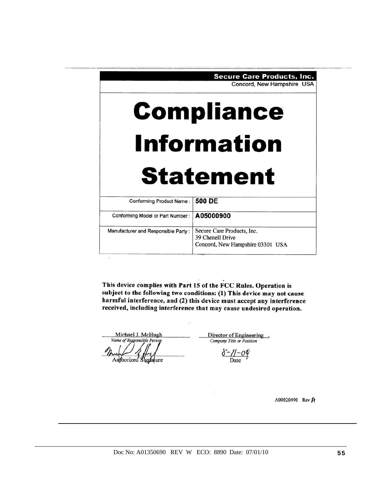|                                     | <b>Secure Care Products, Inc.</b><br>Concord, New Hampshire USA                    |  |
|-------------------------------------|------------------------------------------------------------------------------------|--|
|                                     | <b>Compliance</b>                                                                  |  |
| <b>Information</b>                  |                                                                                    |  |
|                                     | <b>Statement</b>                                                                   |  |
| Conforming Product Name:            | 500 DE                                                                             |  |
| Conforming Model or Part Number:    | A05000900                                                                          |  |
| Manufacturer and Responsible Party: | Secure Care Products, Inc.<br>39 Chenell Drive<br>Concord, New Hampshire 03301 USA |  |

This device complies with Part 15 of the FCC Rules. Operation is subject to the following two conditions: (1) This device may not cause harmful interference, and (2) this device must accept any interference received, including interference that may cause undesired operation.

Michael J. McHugh Name of Responsible Person Authorized Signature

 $\lambda$ 

Director of Engineering. Company Title or Position

 $\frac{\delta - \gamma - o \phi}{\delta}$ 

A00020490 Rev A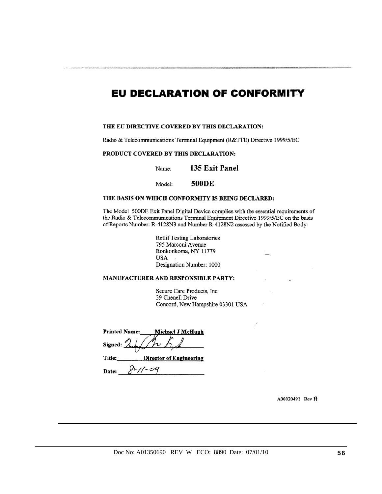### **EU DECLARATION OF CONFORMITY**

#### THE EU DIRECTIVE COVERED BY THIS DECLARATION:

Radio & Telecommunications Terminal Equipment (R&TTE) Directive 1999/5/EC

#### PRODUCT COVERED BY THIS DECLARATION:

135 Exit Panel Name:

**500DE** Model:

#### THE BASIS ON WHICH CONFORMITY IS BEING DECLARED:

The Model 500DE Exit Panel Digital Device complies with the essential requirements of the Radio & Telecommunications Terminal Equipment Directive 1999/5/EC on the basis of Reports Number: R-4128N3 and Number R-4128N2 assessed by the Notified Body:

> **Retlif Testing Laboratories** 795 Marconi Avenue Ronkonkoma, NY 11779 **USA** Designation Number: 1000

#### MANUFACTURER AND RESPONSIBLE PARTY:

Secure Care Products, Inc 39 Chenell Drive Concord, New Hampshire 03301 USA

| <b>Printed Name:</b> | Michael J McHugh               |  |  |  |
|----------------------|--------------------------------|--|--|--|
| Signed: $\lambda$    |                                |  |  |  |
| Title:               | <b>Director of Engineering</b> |  |  |  |
| Date:                |                                |  |  |  |

A00020491 Rev A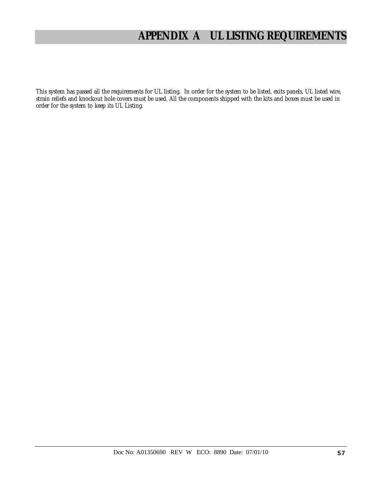# **APPENDIX A UL LISTING REQUIREMENTS**

This system has passed all the requirements for UL listing. In order for the system to be listed, exits panels, UL listed wire, strain reliefs and knockout hole covers must be used. All the components shipped with the kits and boxes must be used in order for the system to keep its UL Listing.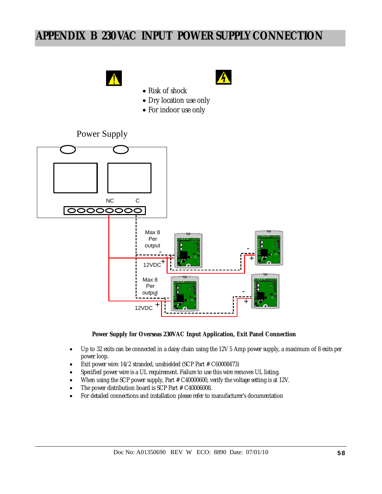# **APPENDIX B 230 VAC INPUT POWER SUPPLY CONNECTION**





- Risk of shock
- Dry location use only
- For indoor use only

### Power Supply



#### **Power Supply for Overseas 230VAC Input Application, Exit Panel Connection**

- Up to 32 exits can be connected in a daisy chain using the 12V 5 Amp power supply, a maximum of 8 exits per power loop.
- Exit power wire: 14/2 stranded, unshielded (SCP Part # C60008473)
- Specified power wire is a UL requirement. Failure to use this wire removes UL listing.
- When using the SCP power supply, Part # C40000600, verify the voltage setting is at 12V.
- The power distribution board is SCP Part # C40006008.
- For detailed connections and installation please refer to manufacturer's documentation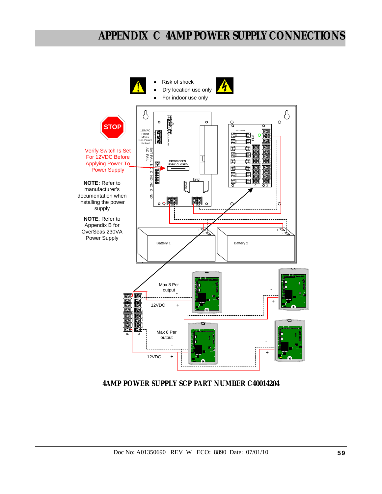# **APPENDIX C 4AMP POWER SUPPLY CONNECTIONS**



**4AMP POWER SUPPLY SCP PART NUMBER C40014204**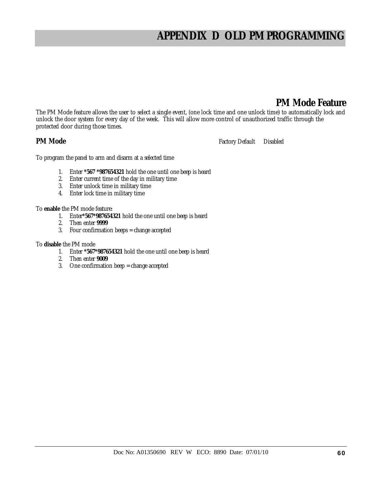# **APPENDIX D OLD PM PROGRAMMING**

### **PM Mode Feature**

The PM Mode feature allows the user to select a single event, (one lock time and one unlock time) to automatically lock and unlock the door system for every day of the week. This will allow more control of unauthorized traffic through the protected door during those times.

**PM Mode Factory Default** Disabled

To program the panel to arm and disarm at a selected time

- 1. Enter **\*567 \*987654321** hold the one until one beep is heard
- 2. Enter current time of the day in military time
- 3. Enter unlock time in military time
- 4. Enter lock time in military time
- To **enable** the PM mode feature:
	- 1. Enter**\*567\*987654321** hold the one until one beep is heard
	- 2. Then enter **9999**
	- 3. Four confirmation beeps = change accepted

### To **disable** the PM mode

- 1. Enter **\*567\*987654321** hold the one until one beep is heard
- 2. Then enter **9009**
- 3. One confirmation beep = change accepted